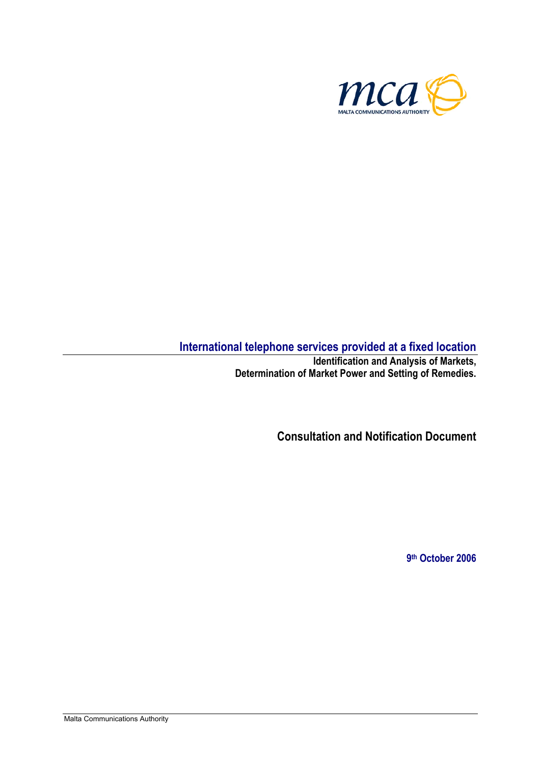

# **International telephone services provided at a fixed location**

**Identification and Analysis of Markets, Determination of Market Power and Setting of Remedies.** 

**Consultation and Notification Document** 

**9th October 2006**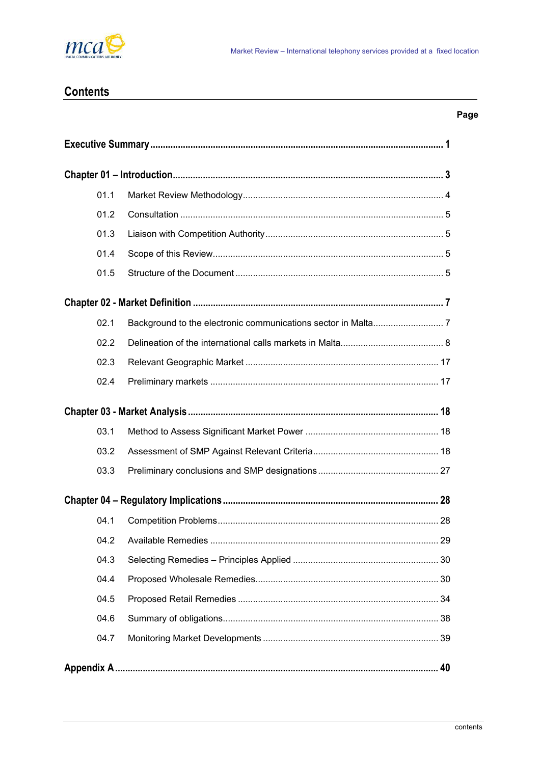

# **Contents**

| ×<br>×<br>۰. |
|--------------|
|--------------|

| 01.1 |  |  |  |  |
|------|--|--|--|--|
| 01.2 |  |  |  |  |
| 01.3 |  |  |  |  |
| 01.4 |  |  |  |  |
| 01.5 |  |  |  |  |
|      |  |  |  |  |
| 02.1 |  |  |  |  |
| 02.2 |  |  |  |  |
| 02.3 |  |  |  |  |
| 02.4 |  |  |  |  |
|      |  |  |  |  |
| 03.1 |  |  |  |  |
| 03.2 |  |  |  |  |
| 03.3 |  |  |  |  |
|      |  |  |  |  |
| 04.1 |  |  |  |  |
|      |  |  |  |  |
| 04.3 |  |  |  |  |
| 04.4 |  |  |  |  |
| 04.5 |  |  |  |  |
| 04.6 |  |  |  |  |
| 04.7 |  |  |  |  |
|      |  |  |  |  |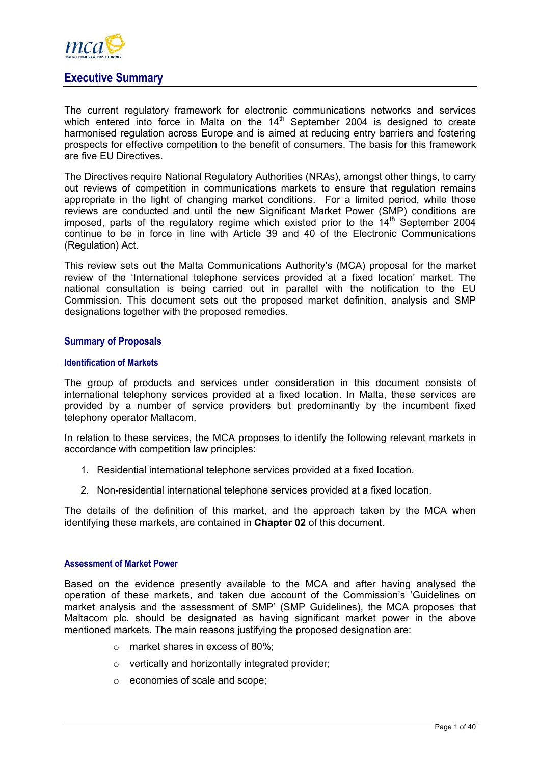<span id="page-2-0"></span>

# **Executive Summary**

The current regulatory framework for electronic communications networks and services which entered into force in Malta on the 14<sup>th</sup> September 2004 is designed to create harmonised regulation across Europe and is aimed at reducing entry barriers and fostering prospects for effective competition to the benefit of consumers. The basis for this framework are five EU Directives.

The Directives require National Regulatory Authorities (NRAs), amongst other things, to carry out reviews of competition in communications markets to ensure that regulation remains appropriate in the light of changing market conditions. For a limited period, while those reviews are conducted and until the new Significant Market Power (SMP) conditions are imposed, parts of the regulatory regime which existed prior to the  $14<sup>th</sup>$  September 2004 continue to be in force in line with Article 39 and 40 of the Electronic Communications (Regulation) Act.

This review sets out the Malta Communications Authority's (MCA) proposal for the market review of the 'International telephone services provided at a fixed location' market. The national consultation is being carried out in parallel with the notification to the EU Commission. This document sets out the proposed market definition, analysis and SMP designations together with the proposed remedies.

# **Summary of Proposals**

#### **Identification of Markets**

The group of products and services under consideration in this document consists of international telephony services provided at a fixed location. In Malta, these services are provided by a number of service providers but predominantly by the incumbent fixed telephony operator Maltacom.

In relation to these services, the MCA proposes to identify the following relevant markets in accordance with competition law principles:

- 1. Residential international telephone services provided at a fixed location.
- 2. Non-residential international telephone services provided at a fixed location.

The details of the definition of this market, and the approach taken by the MCA when identifying these markets, are contained in **Chapter 02** of this document.

#### **Assessment of Market Power**

Based on the evidence presently available to the MCA and after having analysed the operation of these markets, and taken due account of the Commission's 'Guidelines on market analysis and the assessment of SMP' (SMP Guidelines), the MCA proposes that Maltacom plc. should be designated as having significant market power in the above mentioned markets. The main reasons justifying the proposed designation are:

- o market shares in excess of 80%;
- o vertically and horizontally integrated provider;
- o economies of scale and scope;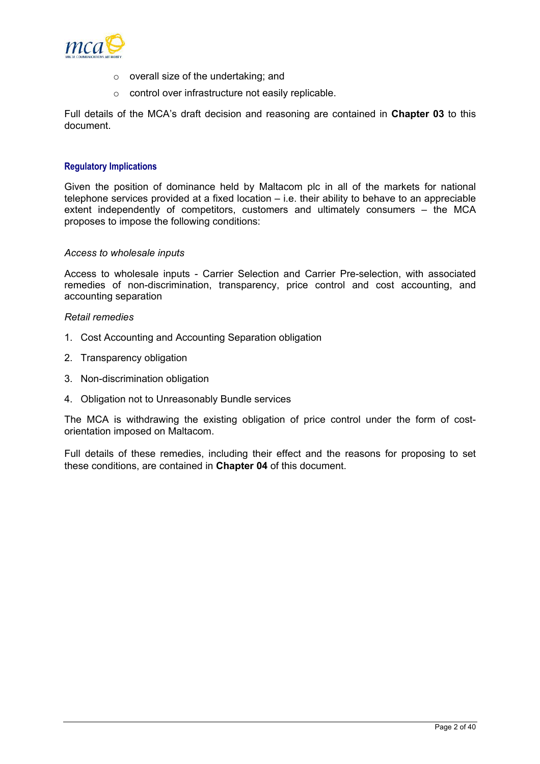

- o overall size of the undertaking; and
- o control over infrastructure not easily replicable.

Full details of the MCA's draft decision and reasoning are contained in **Chapter 03** to this document.

#### **Regulatory Implications**

Given the position of dominance held by Maltacom plc in all of the markets for national telephone services provided at a fixed location – i.e. their ability to behave to an appreciable extent independently of competitors, customers and ultimately consumers – the MCA proposes to impose the following conditions:

#### *Access to wholesale inputs*

Access to wholesale inputs - Carrier Selection and Carrier Pre-selection, with associated remedies of non-discrimination, transparency, price control and cost accounting, and accounting separation

#### *Retail remedies*

- 1. Cost Accounting and Accounting Separation obligation
- 2. Transparency obligation
- 3. Non-discrimination obligation
- 4. Obligation not to Unreasonably Bundle services

The MCA is withdrawing the existing obligation of price control under the form of costorientation imposed on Maltacom.

Full details of these remedies, including their effect and the reasons for proposing to set these conditions, are contained in **Chapter 04** of this document.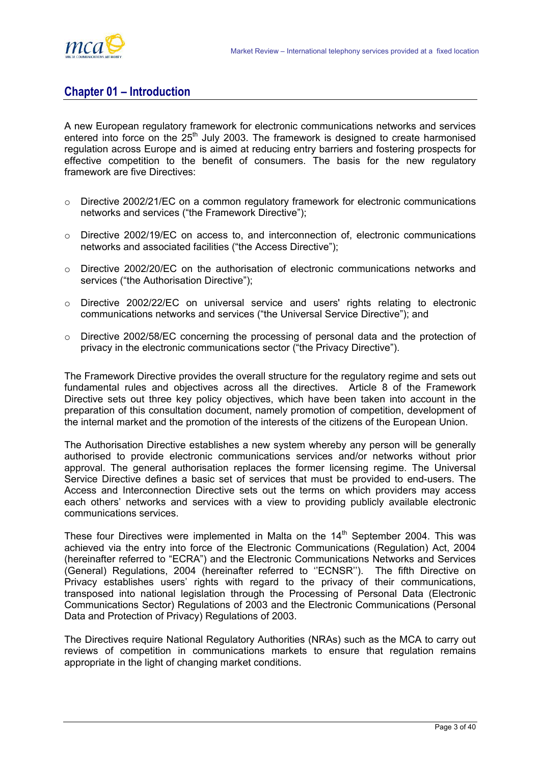<span id="page-4-0"></span>

# **Chapter 01 – Introduction**

A new European regulatory framework for electronic communications networks and services entered into force on the  $25<sup>th</sup>$  July 2003. The framework is designed to create harmonised regulation across Europe and is aimed at reducing entry barriers and fostering prospects for effective competition to the benefit of consumers. The basis for the new regulatory framework are five Directives:

- $\circ$  Directive 2002/21/EC on a common regulatory framework for electronic communications networks and services ("the Framework Directive");
- $\circ$  Directive 2002/19/EC on access to, and interconnection of, electronic communications networks and associated facilities ("the Access Directive");
- $\circ$  Directive 2002/20/EC on the authorisation of electronic communications networks and services ("the Authorisation Directive"):
- $\circ$  Directive 2002/22/EC on universal service and users' rights relating to electronic communications networks and services ("the Universal Service Directive"); and
- o Directive 2002/58/EC concerning the processing of personal data and the protection of privacy in the electronic communications sector ("the Privacy Directive").

The Framework Directive provides the overall structure for the regulatory regime and sets out fundamental rules and objectives across all the directives. Article 8 of the Framework Directive sets out three key policy objectives, which have been taken into account in the preparation of this consultation document, namely promotion of competition, development of the internal market and the promotion of the interests of the citizens of the European Union.

The Authorisation Directive establishes a new system whereby any person will be generally authorised to provide electronic communications services and/or networks without prior approval. The general authorisation replaces the former licensing regime. The Universal Service Directive defines a basic set of services that must be provided to end-users. The Access and Interconnection Directive sets out the terms on which providers may access each others' networks and services with a view to providing publicly available electronic communications services.

These four Directives were implemented in Malta on the  $14<sup>th</sup>$  September 2004. This was achieved via the entry into force of the Electronic Communications (Regulation) Act, 2004 (hereinafter referred to "ECRA") and the Electronic Communications Networks and Services (General) Regulations, 2004 (hereinafter referred to ''ECNSR''). The fifth Directive on Privacy establishes users' rights with regard to the privacy of their communications, transposed into national legislation through the Processing of Personal Data (Electronic Communications Sector) Regulations of 2003 and the Electronic Communications (Personal Data and Protection of Privacy) Regulations of 2003.

The Directives require National Regulatory Authorities (NRAs) such as the MCA to carry out reviews of competition in communications markets to ensure that regulation remains appropriate in the light of changing market conditions.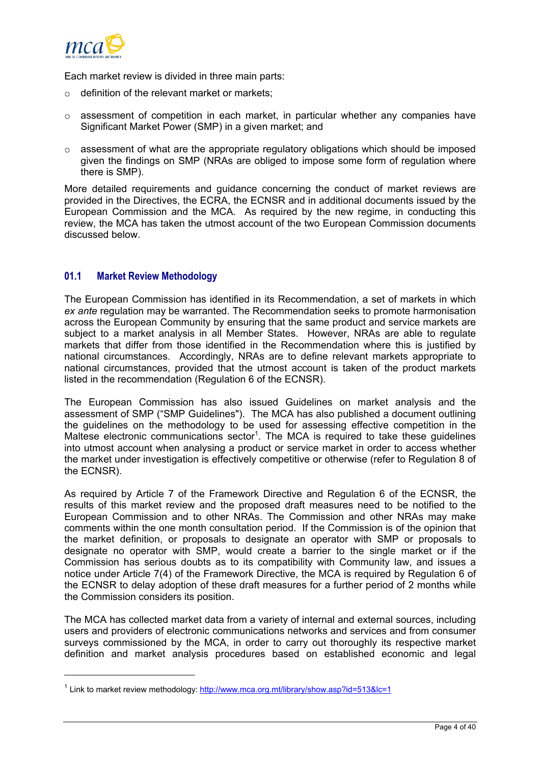<span id="page-5-0"></span>

l

Each market review is divided in three main parts:

- $\circ$  definition of the relevant market or markets;
- $\circ$  assessment of competition in each market, in particular whether any companies have Significant Market Power (SMP) in a given market; and
- $\circ$  assessment of what are the appropriate regulatory obligations which should be imposed given the findings on SMP (NRAs are obliged to impose some form of regulation where there is SMP).

More detailed requirements and guidance concerning the conduct of market reviews are provided in the Directives, the ECRA, the ECNSR and in additional documents issued by the European Commission and the MCA. As required by the new regime, in conducting this review, the MCA has taken the utmost account of the two European Commission documents discussed below.

# **01.1 Market Review Methodology**

The European Commission has identified in its Recommendation, a set of markets in which *ex ante* regulation may be warranted. The Recommendation seeks to promote harmonisation across the European Community by ensuring that the same product and service markets are subject to a market analysis in all Member States. However, NRAs are able to regulate markets that differ from those identified in the Recommendation where this is justified by national circumstances. Accordingly, NRAs are to define relevant markets appropriate to national circumstances, provided that the utmost account is taken of the product markets listed in the recommendation (Regulation 6 of the ECNSR).

The European Commission has also issued Guidelines on market analysis and the assessment of SMP ("SMP Guidelines"). The MCA has also published a document outlining the guidelines on the methodology to be used for assessing effective competition in the Maltese electronic communications sector<sup>[1](#page-5-1)</sup>. The MCA is required to take these guidelines into utmost account when analysing a product or service market in order to access whether the market under investigation is effectively competitive or otherwise (refer to Regulation 8 of the ECNSR).

As required by Article 7 of the Framework Directive and Regulation 6 of the ECNSR, the results of this market review and the proposed draft measures need to be notified to the European Commission and to other NRAs. The Commission and other NRAs may make comments within the one month consultation period. If the Commission is of the opinion that the market definition, or proposals to designate an operator with SMP or proposals to designate no operator with SMP, would create a barrier to the single market or if the Commission has serious doubts as to its compatibility with Community law, and issues a notice under Article 7(4) of the Framework Directive, the MCA is required by Regulation 6 of the ECNSR to delay adoption of these draft measures for a further period of 2 months while the Commission considers its position.

The MCA has collected market data from a variety of internal and external sources, including users and providers of electronic communications networks and services and from consumer surveys commissioned by the MCA, in order to carry out thoroughly its respective market definition and market analysis procedures based on established economic and legal

<span id="page-5-1"></span><sup>&</sup>lt;sup>1</sup> Link to market review methodology:<http://www.mca.org.mt/library/show.asp?id=513&lc=1>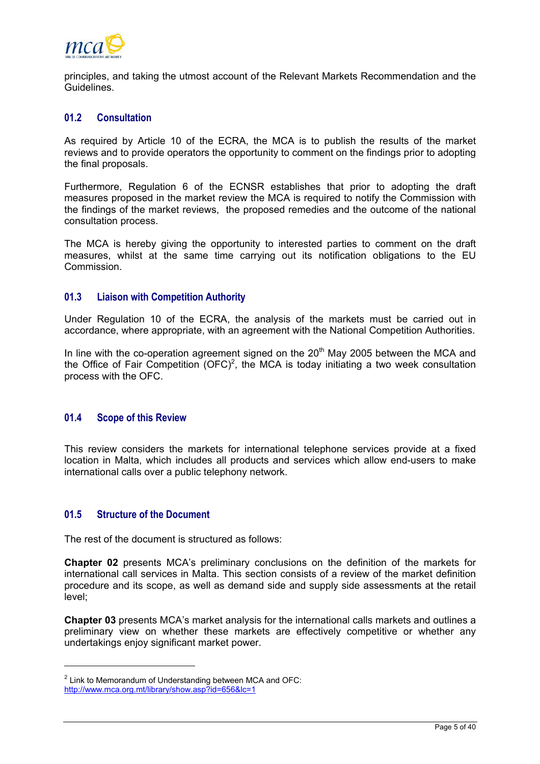<span id="page-6-0"></span>

principles, and taking the utmost account of the Relevant Markets Recommendation and the Guidelines.

# **01.2 Consultation**

As required by Article 10 of the ECRA, the MCA is to publish the results of the market reviews and to provide operators the opportunity to comment on the findings prior to adopting the final proposals.

Furthermore, Regulation 6 of the ECNSR establishes that prior to adopting the draft measures proposed in the market review the MCA is required to notify the Commission with the findings of the market reviews, the proposed remedies and the outcome of the national consultation process.

The MCA is hereby giving the opportunity to interested parties to comment on the draft measures, whilst at the same time carrying out its notification obligations to the EU Commission.

# **01.3 Liaison with Competition Authority**

Under Regulation 10 of the ECRA, the analysis of the markets must be carried out in accordance, where appropriate, with an agreement with the National Competition Authorities.

In line with the co-operation agreement signed on the  $20<sup>th</sup>$  May 2005 between the MCA and the Office of Fair Competition  $(OFC)^2$  $(OFC)^2$ , the MCA is today initiating a two week consultation process with the OFC.

#### **01.4 Scope of this Review**

This review considers the markets for international telephone services provide at a fixed location in Malta, which includes all products and services which allow end-users to make international calls over a public telephony network.

# **01.5 Structure of the Document**

l

The rest of the document is structured as follows:

**Chapter 02** presents MCA's preliminary conclusions on the definition of the markets for international call services in Malta. This section consists of a review of the market definition procedure and its scope, as well as demand side and supply side assessments at the retail level;

**Chapter 03** presents MCA's market analysis for the international calls markets and outlines a preliminary view on whether these markets are effectively competitive or whether any undertakings enjoy significant market power.

<span id="page-6-1"></span> $2$  Link to Memorandum of Understanding between MCA and OFC: <http://www.mca.org.mt/library/show.asp?id=656&lc=1>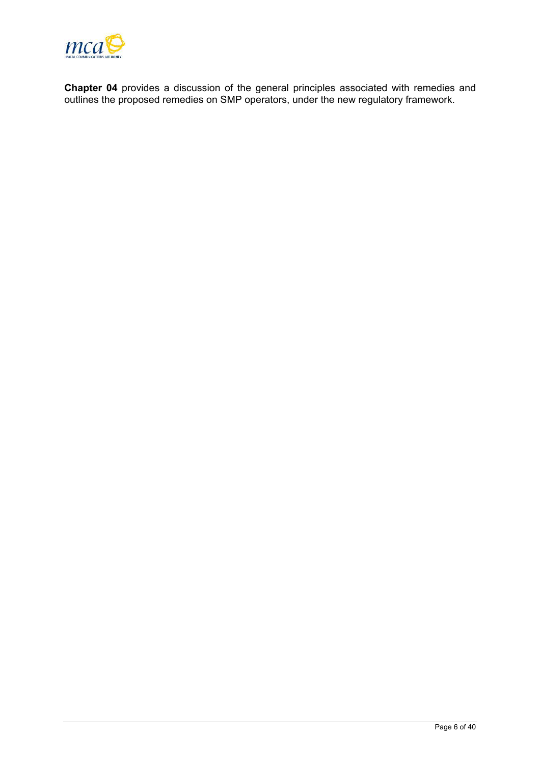

**Chapter 04** provides a discussion of the general principles associated with remedies and outlines the proposed remedies on SMP operators, under the new regulatory framework.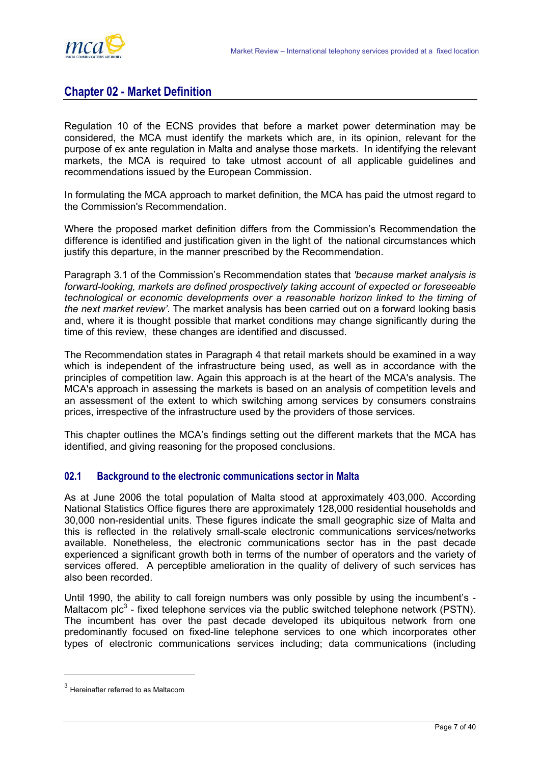# <span id="page-8-0"></span>**Chapter 02 - Market Definition**

Regulation 10 of the ECNS provides that before a market power determination may be considered, the MCA must identify the markets which are, in its opinion, relevant for the purpose of ex ante regulation in Malta and analyse those markets. In identifying the relevant markets, the MCA is required to take utmost account of all applicable guidelines and recommendations issued by the European Commission.

In formulating the MCA approach to market definition, the MCA has paid the utmost regard to the Commission's Recommendation.

Where the proposed market definition differs from the Commission's Recommendation the difference is identified and justification given in the light of the national circumstances which justify this departure, in the manner prescribed by the Recommendation.

Paragraph 3.1 of the Commission's Recommendation states that *'because market analysis is forward-looking, markets are defined prospectively taking account of expected or foreseeable technological or economic developments over a reasonable horizon linked to the timing of the next market review'*. The market analysis has been carried out on a forward looking basis and, where it is thought possible that market conditions may change significantly during the time of this review, these changes are identified and discussed.

The Recommendation states in Paragraph 4 that retail markets should be examined in a way which is independent of the infrastructure being used, as well as in accordance with the principles of competition law. Again this approach is at the heart of the MCA's analysis. The MCA's approach in assessing the markets is based on an analysis of competition levels and an assessment of the extent to which switching among services by consumers constrains prices, irrespective of the infrastructure used by the providers of those services.

This chapter outlines the MCA's findings setting out the different markets that the MCA has identified, and giving reasoning for the proposed conclusions.

# **02.1 Background to the electronic communications sector in Malta**

As at June 2006 the total population of Malta stood at approximately 403,000. According National Statistics Office figures there are approximately 128,000 residential households and 30,000 non-residential units. These figures indicate the small geographic size of Malta and this is reflected in the relatively small-scale electronic communications services/networks available. Nonetheless, the electronic communications sector has in the past decade experienced a significant growth both in terms of the number of operators and the variety of services offered. A perceptible amelioration in the quality of delivery of such services has also been recorded.

Until 1990, the ability to call foreign numbers was only possible by using the incumbent's - Maltacom  $p/c<sup>3</sup>$  $p/c<sup>3</sup>$  $p/c<sup>3</sup>$  - fixed telephone services via the public switched telephone network (PSTN). The incumbent has over the past decade developed its ubiquitous network from one predominantly focused on fixed-line telephone services to one which incorporates other types of electronic communications services including; data communications (including

<span id="page-8-1"></span><sup>3</sup> Hereinafter referred to as Maltacom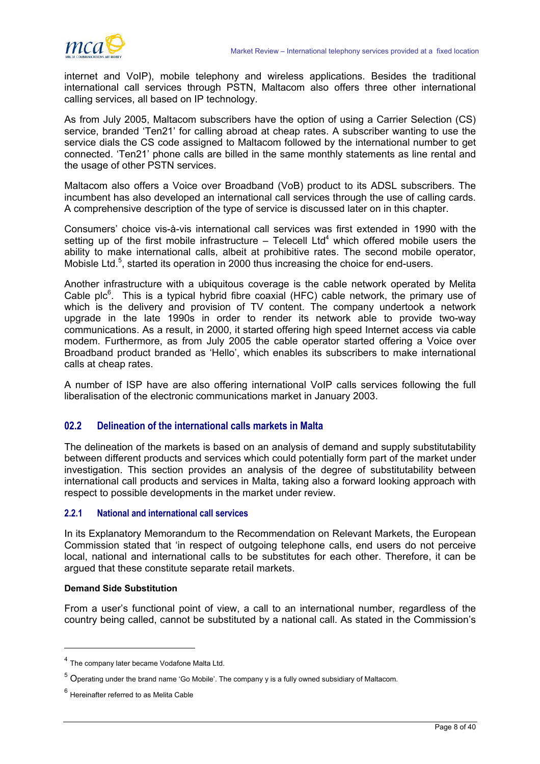<span id="page-9-0"></span>

internet and VoIP), mobile telephony and wireless applications. Besides the traditional international call services through PSTN, Maltacom also offers three other international calling services, all based on IP technology.

As from July 2005, Maltacom subscribers have the option of using a Carrier Selection (CS) service, branded 'Ten21' for calling abroad at cheap rates. A subscriber wanting to use the service dials the CS code assigned to Maltacom followed by the international number to get connected. 'Ten21' phone calls are billed in the same monthly statements as line rental and the usage of other PSTN services.

Maltacom also offers a Voice over Broadband (VoB) product to its ADSL subscribers. The incumbent has also developed an international call services through the use of calling cards. A comprehensive description of the type of service is discussed later on in this chapter.

Consumers' choice vis-à-vis international call services was first extended in 1990 with the setting up of the first mobile infrastructure  $-$  Telecell Ltd<sup>[4](#page-9-1)</sup> which offered mobile users the ability to make international calls, albeit at prohibitive rates. The second mobile operator, Mobisle Ltd. $5$ , started its operation in 2000 thus increasing the choice for end-users.

Another infrastructure with a ubiquitous coverage is the cable network operated by Melita Cable plc $6$ . This is a typical hybrid fibre coaxial (HFC) cable network, the primary use of which is the delivery and provision of TV content. The company undertook a network upgrade in the late 1990s in order to render its network able to provide two-way communications. As a result, in 2000, it started offering high speed Internet access via cable modem. Furthermore, as from July 2005 the cable operator started offering a Voice over Broadband product branded as 'Hello', which enables its subscribers to make international calls at cheap rates.

A number of ISP have are also offering international VoIP calls services following the full liberalisation of the electronic communications market in January 2003.

# **02.2 Delineation of the international calls markets in Malta**

The delineation of the markets is based on an analysis of demand and supply substitutability between different products and services which could potentially form part of the market under investigation. This section provides an analysis of the degree of substitutability between international call products and services in Malta, taking also a forward looking approach with respect to possible developments in the market under review.

# **2.2.1 National and international call services**

In its Explanatory Memorandum to the Recommendation on Relevant Markets, the European Commission stated that 'in respect of outgoing telephone calls, end users do not perceive local, national and international calls to be substitutes for each other. Therefore, it can be argued that these constitute separate retail markets.

#### **Demand Side Substitution**

l

From a user's functional point of view, a call to an international number, regardless of the country being called, cannot be substituted by a national call. As stated in the Commission's

<span id="page-9-1"></span><sup>4</sup> The company later became Vodafone Malta Ltd.

<span id="page-9-2"></span> $^5$  Operating under the brand name 'Go Mobile'. The company y is a fully owned subsidiary of Maltacom.

<span id="page-9-3"></span> $<sup>6</sup>$  Hereinafter referred to as Melita Cable</sup>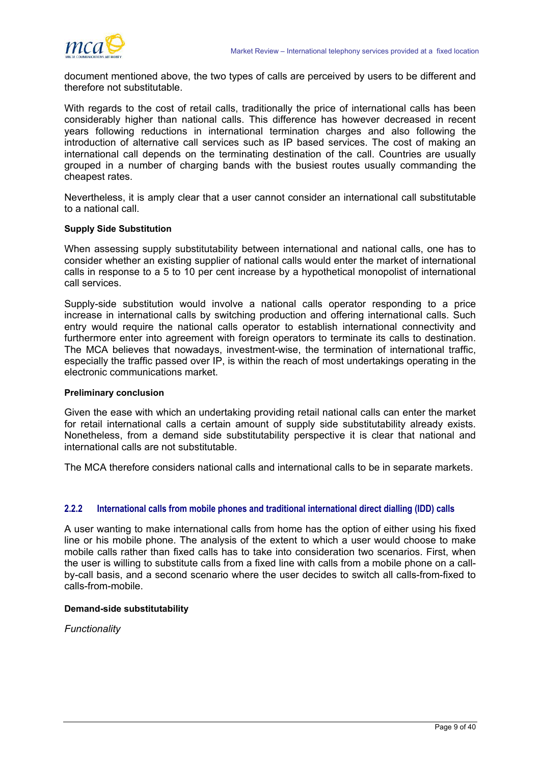

document mentioned above, the two types of calls are perceived by users to be different and therefore not substitutable.

With regards to the cost of retail calls, traditionally the price of international calls has been considerably higher than national calls. This difference has however decreased in recent years following reductions in international termination charges and also following the introduction of alternative call services such as IP based services. The cost of making an international call depends on the terminating destination of the call. Countries are usually grouped in a number of charging bands with the busiest routes usually commanding the cheapest rates.

Nevertheless, it is amply clear that a user cannot consider an international call substitutable to a national call.

## **Supply Side Substitution**

When assessing supply substitutability between international and national calls, one has to consider whether an existing supplier of national calls would enter the market of international calls in response to a 5 to 10 per cent increase by a hypothetical monopolist of international call services.

Supply-side substitution would involve a national calls operator responding to a price increase in international calls by switching production and offering international calls. Such entry would require the national calls operator to establish international connectivity and furthermore enter into agreement with foreign operators to terminate its calls to destination. The MCA believes that nowadays, investment-wise, the termination of international traffic, especially the traffic passed over IP, is within the reach of most undertakings operating in the electronic communications market.

#### **Preliminary conclusion**

Given the ease with which an undertaking providing retail national calls can enter the market for retail international calls a certain amount of supply side substitutability already exists. Nonetheless, from a demand side substitutability perspective it is clear that national and international calls are not substitutable.

The MCA therefore considers national calls and international calls to be in separate markets.

#### **2.2.2 International calls from mobile phones and traditional international direct dialling (IDD) calls**

A user wanting to make international calls from home has the option of either using his fixed line or his mobile phone. The analysis of the extent to which a user would choose to make mobile calls rather than fixed calls has to take into consideration two scenarios. First, when the user is willing to substitute calls from a fixed line with calls from a mobile phone on a callby-call basis, and a second scenario where the user decides to switch all calls-from-fixed to calls-from-mobile.

#### **Demand-side substitutability**

*Functionality*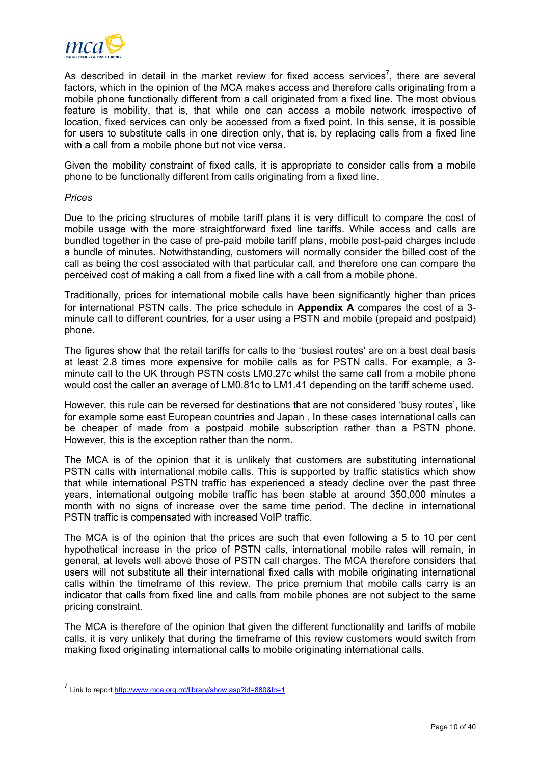

As described in detail in the market review for fixed access services<sup>[7](#page-11-0)</sup>, there are several factors, which in the opinion of the MCA makes access and therefore calls originating from a mobile phone functionally different from a call originated from a fixed line. The most obvious feature is mobility, that is, that while one can access a mobile network irrespective of location, fixed services can only be accessed from a fixed point. In this sense, it is possible for users to substitute calls in one direction only, that is, by replacing calls from a fixed line with a call from a mobile phone but not vice versa.

Given the mobility constraint of fixed calls, it is appropriate to consider calls from a mobile phone to be functionally different from calls originating from a fixed line.

#### *Prices*

l

Due to the pricing structures of mobile tariff plans it is very difficult to compare the cost of mobile usage with the more straightforward fixed line tariffs. While access and calls are bundled together in the case of pre-paid mobile tariff plans, mobile post-paid charges include a bundle of minutes. Notwithstanding, customers will normally consider the billed cost of the call as being the cost associated with that particular call, and therefore one can compare the perceived cost of making a call from a fixed line with a call from a mobile phone.

Traditionally, prices for international mobile calls have been significantly higher than prices for international PSTN calls. The price schedule in **Appendix A** compares the cost of a 3 minute call to different countries, for a user using a PSTN and mobile (prepaid and postpaid) phone.

The figures show that the retail tariffs for calls to the 'busiest routes' are on a best deal basis at least 2.8 times more expensive for mobile calls as for PSTN calls. For example, a 3 minute call to the UK through PSTN costs LM0.27c whilst the same call from a mobile phone would cost the caller an average of LM0.81c to LM1.41 depending on the tariff scheme used.

However, this rule can be reversed for destinations that are not considered 'busy routes', like for example some east European countries and Japan . In these cases international calls can be cheaper of made from a postpaid mobile subscription rather than a PSTN phone. However, this is the exception rather than the norm.

The MCA is of the opinion that it is unlikely that customers are substituting international PSTN calls with international mobile calls. This is supported by traffic statistics which show that while international PSTN traffic has experienced a steady decline over the past three years, international outgoing mobile traffic has been stable at around 350,000 minutes a month with no signs of increase over the same time period. The decline in international PSTN traffic is compensated with increased VoIP traffic.

The MCA is of the opinion that the prices are such that even following a 5 to 10 per cent hypothetical increase in the price of PSTN calls, international mobile rates will remain, in general, at levels well above those of PSTN call charges. The MCA therefore considers that users will not substitute all their international fixed calls with mobile originating international calls within the timeframe of this review. The price premium that mobile calls carry is an indicator that calls from fixed line and calls from mobile phones are not subject to the same pricing constraint.

The MCA is therefore of the opinion that given the different functionality and tariffs of mobile calls, it is very unlikely that during the timeframe of this review customers would switch from making fixed originating international calls to mobile originating international calls.

<span id="page-11-0"></span><sup>&</sup>lt;sup>7</sup> Link to report<http://www.mca.org.mt/library/show.asp?id=880&lc=1>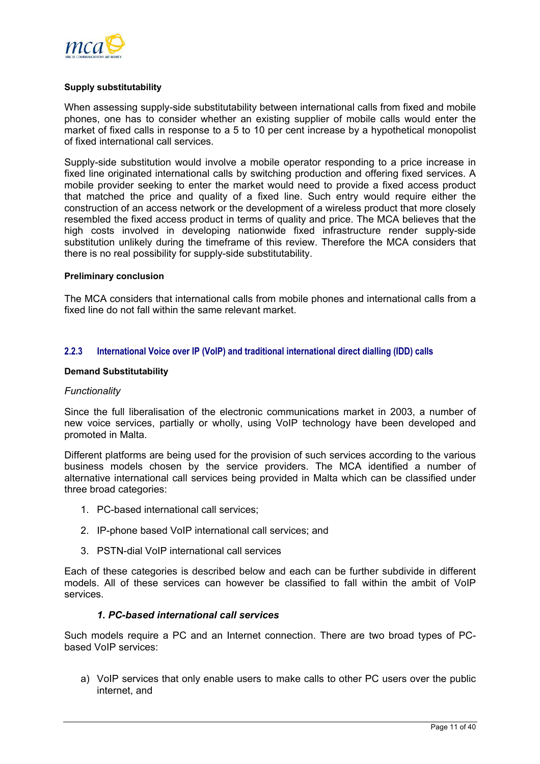

#### **Supply substitutability**

When assessing supply-side substitutability between international calls from fixed and mobile phones, one has to consider whether an existing supplier of mobile calls would enter the market of fixed calls in response to a 5 to 10 per cent increase by a hypothetical monopolist of fixed international call services.

Supply-side substitution would involve a mobile operator responding to a price increase in fixed line originated international calls by switching production and offering fixed services. A mobile provider seeking to enter the market would need to provide a fixed access product that matched the price and quality of a fixed line. Such entry would require either the construction of an access network or the development of a wireless product that more closely resembled the fixed access product in terms of quality and price. The MCA believes that the high costs involved in developing nationwide fixed infrastructure render supply-side substitution unlikely during the timeframe of this review. Therefore the MCA considers that there is no real possibility for supply-side substitutability.

#### **Preliminary conclusion**

The MCA considers that international calls from mobile phones and international calls from a fixed line do not fall within the same relevant market.

#### **2.2.3 International Voice over IP (VoIP) and traditional international direct dialling (IDD) calls**

#### **Demand Substitutability**

#### *Functionality*

Since the full liberalisation of the electronic communications market in 2003, a number of new voice services, partially or wholly, using VoIP technology have been developed and promoted in Malta.

Different platforms are being used for the provision of such services according to the various business models chosen by the service providers. The MCA identified a number of alternative international call services being provided in Malta which can be classified under three broad categories:

- 1. PC-based international call services;
- 2. IP-phone based VoIP international call services; and
- 3. PSTN-dial VoIP international call services

Each of these categories is described below and each can be further subdivide in different models. All of these services can however be classified to fall within the ambit of VoIP services.

# *1. PC-based international call services*

Such models require a PC and an Internet connection. There are two broad types of PCbased VoIP services:

a) VoIP services that only enable users to make calls to other PC users over the public internet, and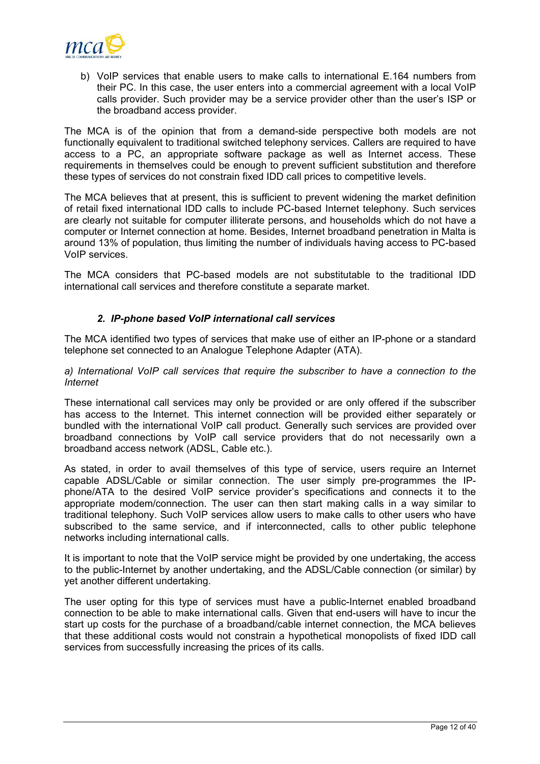

b) VoIP services that enable users to make calls to international E.164 numbers from their PC. In this case, the user enters into a commercial agreement with a local VoIP calls provider. Such provider may be a service provider other than the user's ISP or the broadband access provider.

The MCA is of the opinion that from a demand-side perspective both models are not functionally equivalent to traditional switched telephony services. Callers are required to have access to a PC, an appropriate software package as well as Internet access. These requirements in themselves could be enough to prevent sufficient substitution and therefore these types of services do not constrain fixed IDD call prices to competitive levels.

The MCA believes that at present, this is sufficient to prevent widening the market definition of retail fixed international IDD calls to include PC-based Internet telephony. Such services are clearly not suitable for computer illiterate persons, and households which do not have a computer or Internet connection at home. Besides, Internet broadband penetration in Malta is around 13% of population, thus limiting the number of individuals having access to PC-based VoIP services.

The MCA considers that PC-based models are not substitutable to the traditional IDD international call services and therefore constitute a separate market.

# *2. IP-phone based VoIP international call services*

The MCA identified two types of services that make use of either an IP-phone or a standard telephone set connected to an Analogue Telephone Adapter (ATA).

*a) International VoIP call services that require the subscriber to have a connection to the Internet* 

These international call services may only be provided or are only offered if the subscriber has access to the Internet. This internet connection will be provided either separately or bundled with the international VoIP call product. Generally such services are provided over broadband connections by VoIP call service providers that do not necessarily own a broadband access network (ADSL, Cable etc.).

As stated, in order to avail themselves of this type of service, users require an Internet capable ADSL/Cable or similar connection. The user simply pre-programmes the IPphone/ATA to the desired VoIP service provider's specifications and connects it to the appropriate modem/connection. The user can then start making calls in a way similar to traditional telephony. Such VoIP services allow users to make calls to other users who have subscribed to the same service, and if interconnected, calls to other public telephone networks including international calls.

It is important to note that the VoIP service might be provided by one undertaking, the access to the public-Internet by another undertaking, and the ADSL/Cable connection (or similar) by yet another different undertaking.

The user opting for this type of services must have a public-Internet enabled broadband connection to be able to make international calls. Given that end-users will have to incur the start up costs for the purchase of a broadband/cable internet connection, the MCA believes that these additional costs would not constrain a hypothetical monopolists of fixed IDD call services from successfully increasing the prices of its calls.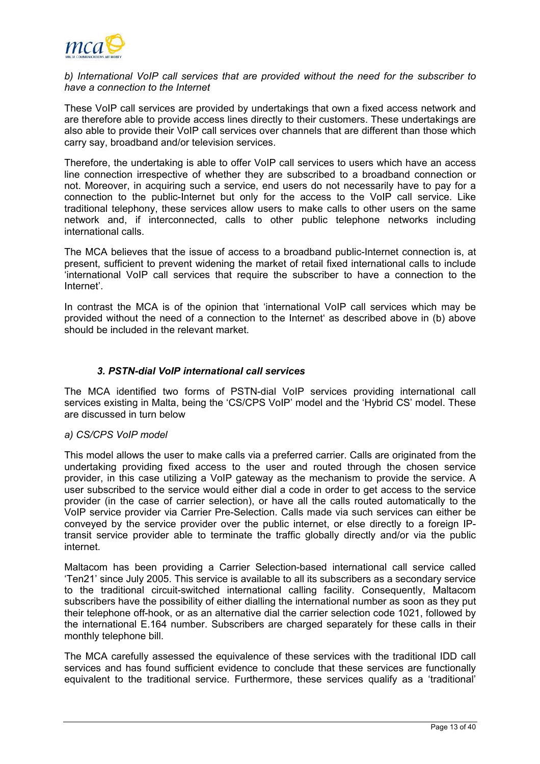

## *b) International VoIP call services that are provided without the need for the subscriber to have a connection to the Internet*

These VoIP call services are provided by undertakings that own a fixed access network and are therefore able to provide access lines directly to their customers. These undertakings are also able to provide their VoIP call services over channels that are different than those which carry say, broadband and/or television services.

Therefore, the undertaking is able to offer VoIP call services to users which have an access line connection irrespective of whether they are subscribed to a broadband connection or not. Moreover, in acquiring such a service, end users do not necessarily have to pay for a connection to the public-Internet but only for the access to the VoIP call service. Like traditional telephony, these services allow users to make calls to other users on the same network and, if interconnected, calls to other public telephone networks including international calls.

The MCA believes that the issue of access to a broadband public-Internet connection is, at present, sufficient to prevent widening the market of retail fixed international calls to include 'international VoIP call services that require the subscriber to have a connection to the Internet'.

In contrast the MCA is of the opinion that 'international VoIP call services which may be provided without the need of a connection to the Internet' as described above in (b) above should be included in the relevant market.

# *3. PSTN-dial VoIP international call services*

The MCA identified two forms of PSTN-dial VoIP services providing international call services existing in Malta, being the 'CS/CPS VoIP' model and the 'Hybrid CS' model. These are discussed in turn below

# *a) CS/CPS VoIP model*

This model allows the user to make calls via a preferred carrier. Calls are originated from the undertaking providing fixed access to the user and routed through the chosen service provider, in this case utilizing a VoIP gateway as the mechanism to provide the service. A user subscribed to the service would either dial a code in order to get access to the service provider (in the case of carrier selection), or have all the calls routed automatically to the VoIP service provider via Carrier Pre-Selection. Calls made via such services can either be conveyed by the service provider over the public internet, or else directly to a foreign IPtransit service provider able to terminate the traffic globally directly and/or via the public internet.

Maltacom has been providing a Carrier Selection-based international call service called 'Ten21' since July 2005. This service is available to all its subscribers as a secondary service to the traditional circuit-switched international calling facility. Consequently, Maltacom subscribers have the possibility of either dialling the international number as soon as they put their telephone off-hook, or as an alternative dial the carrier selection code 1021, followed by the international E.164 number. Subscribers are charged separately for these calls in their monthly telephone bill.

The MCA carefully assessed the equivalence of these services with the traditional IDD call services and has found sufficient evidence to conclude that these services are functionally equivalent to the traditional service. Furthermore, these services qualify as a 'traditional'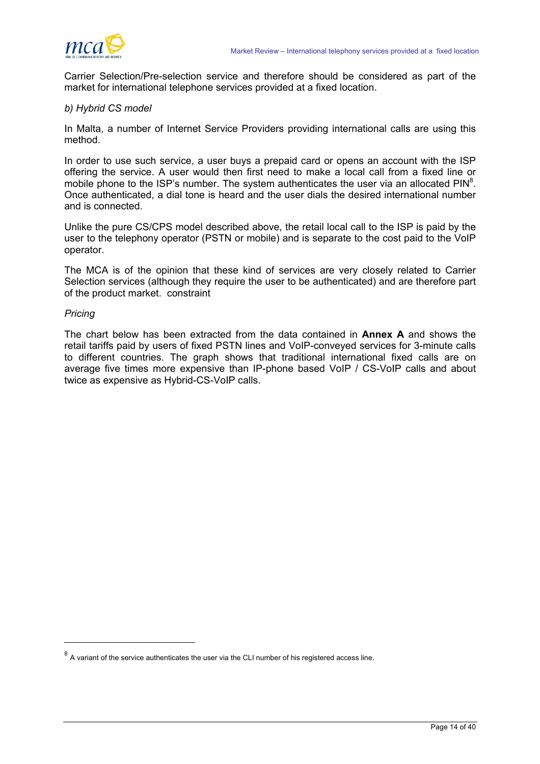

Carrier Selection/Pre-selection service and therefore should be considered as part of the market for international telephone services provided at a fixed location.

#### *b) Hybrid CS model*

In Malta, a number of Internet Service Providers providing international calls are using this method.

In order to use such service, a user buys a prepaid card or opens an account with the ISP offering the service. A user would then first need to make a local call from a fixed line or mobile phone to the ISP's number. The system authenticates the user via an allocated PIN $^8$ . Once authenticated, a dial tone is heard and the user dials the desired international number and is connected.

Unlike the pure CS/CPS model described above, the retail local call to the ISP is paid by the user to the telephony operator (PSTN or mobile) and is separate to the cost paid to the VoIP operator.

The MCA is of the opinion that these kind of services are very closely related to Carrier Selection services (although they require the user to be authenticated) and are therefore part of the product market. constraint

#### *Pricing*

l

The chart below has been extracted from the data contained in **Annex A** and shows the retail tariffs paid by users of fixed PSTN lines and VoIP-conveyed services for 3-minute calls to different countries. The graph shows that traditional international fixed calls are on average five times more expensive than IP-phone based VoIP / CS-VoIP calls and about twice as expensive as Hybrid-CS-VoIP calls.

<span id="page-15-0"></span> $8$  A variant of the service authenticates the user via the CLI number of his registered access line.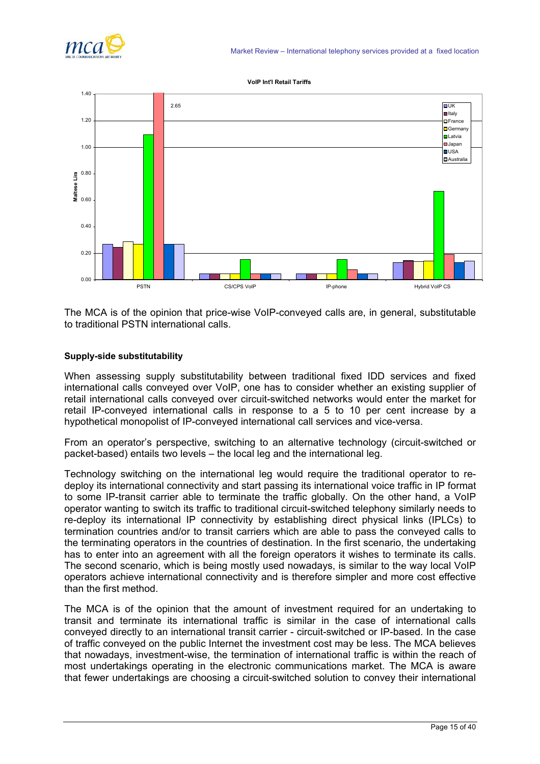

#### **VoIP Int'l Retail Tariffs**



The MCA is of the opinion that price-wise VoIP-conveyed calls are, in general, substitutable to traditional PSTN international calls.

#### **Supply-side substitutability**

When assessing supply substitutability between traditional fixed IDD services and fixed international calls conveyed over VoIP, one has to consider whether an existing supplier of retail international calls conveyed over circuit-switched networks would enter the market for retail IP-conveyed international calls in response to a 5 to 10 per cent increase by a hypothetical monopolist of IP-conveyed international call services and vice-versa.

From an operator's perspective, switching to an alternative technology (circuit-switched or packet-based) entails two levels – the local leg and the international leg.

Technology switching on the international leg would require the traditional operator to redeploy its international connectivity and start passing its international voice traffic in IP format to some IP-transit carrier able to terminate the traffic globally. On the other hand, a VoIP operator wanting to switch its traffic to traditional circuit-switched telephony similarly needs to re-deploy its international IP connectivity by establishing direct physical links (IPLCs) to termination countries and/or to transit carriers which are able to pass the conveyed calls to the terminating operators in the countries of destination. In the first scenario, the undertaking has to enter into an agreement with all the foreign operators it wishes to terminate its calls. The second scenario, which is being mostly used nowadays, is similar to the way local VoIP operators achieve international connectivity and is therefore simpler and more cost effective than the first method.

The MCA is of the opinion that the amount of investment required for an undertaking to transit and terminate its international traffic is similar in the case of international calls conveyed directly to an international transit carrier - circuit-switched or IP-based. In the case of traffic conveyed on the public Internet the investment cost may be less. The MCA believes that nowadays, investment-wise, the termination of international traffic is within the reach of most undertakings operating in the electronic communications market. The MCA is aware that fewer undertakings are choosing a circuit-switched solution to convey their international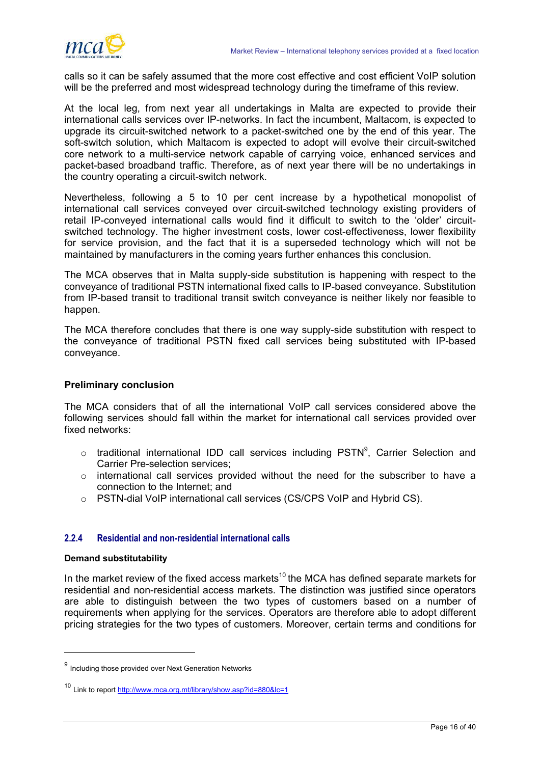

calls so it can be safely assumed that the more cost effective and cost efficient VoIP solution will be the preferred and most widespread technology during the timeframe of this review.

At the local leg, from next year all undertakings in Malta are expected to provide their international calls services over IP-networks. In fact the incumbent, Maltacom, is expected to upgrade its circuit-switched network to a packet-switched one by the end of this year. The soft-switch solution, which Maltacom is expected to adopt will evolve their circuit-switched core network to a multi-service network capable of carrying voice, enhanced services and packet-based broadband traffic. Therefore, as of next year there will be no undertakings in the country operating a circuit-switch network.

Nevertheless, following a 5 to 10 per cent increase by a hypothetical monopolist of international call services conveyed over circuit-switched technology existing providers of retail IP-conveyed international calls would find it difficult to switch to the 'older' circuitswitched technology. The higher investment costs, lower cost-effectiveness, lower flexibility for service provision, and the fact that it is a superseded technology which will not be maintained by manufacturers in the coming years further enhances this conclusion.

The MCA observes that in Malta supply-side substitution is happening with respect to the conveyance of traditional PSTN international fixed calls to IP-based conveyance. Substitution from IP-based transit to traditional transit switch conveyance is neither likely nor feasible to happen.

The MCA therefore concludes that there is one way supply-side substitution with respect to the conveyance of traditional PSTN fixed call services being substituted with IP-based conveyance.

# **Preliminary conclusion**

The MCA considers that of all the international VoIP call services considered above the following services should fall within the market for international call services provided over fixed networks:

- $\circ$  traditional international IDD call services including PSTN<sup>[9](#page-17-0)</sup>, Carrier Selection and Carrier Pre-selection services;
- o international call services provided without the need for the subscriber to have a connection to the Internet; and
- o PSTN-dial VoIP international call services (CS/CPS VoIP and Hybrid CS).

# **2.2.4 Residential and non-residential international calls**

#### **Demand substitutability**

l

In the market review of the fixed access markets<sup>10</sup> the MCA has defined separate markets for residential and non-residential access markets. The distinction was justified since operators are able to distinguish between the two types of customers based on a number of requirements when applying for the services. Operators are therefore able to adopt different pricing strategies for the two types of customers. Moreover, certain terms and conditions for

<span id="page-17-0"></span><sup>9</sup> Including those provided over Next Generation Networks

<span id="page-17-1"></span><sup>10</sup> Link to report <http://www.mca.org.mt/library/show.asp?id=880&lc=1>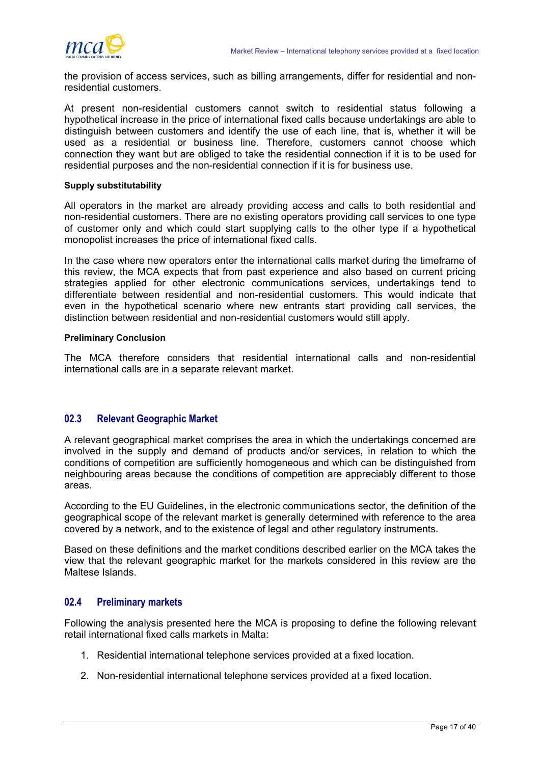<span id="page-18-0"></span>

the provision of access services, such as billing arrangements, differ for residential and nonresidential customers.

At present non-residential customers cannot switch to residential status following a hypothetical increase in the price of international fixed calls because undertakings are able to distinguish between customers and identify the use of each line, that is, whether it will be used as a residential or business line. Therefore, customers cannot choose which connection they want but are obliged to take the residential connection if it is to be used for residential purposes and the non-residential connection if it is for business use.

#### **Supply substitutability**

All operators in the market are already providing access and calls to both residential and non-residential customers. There are no existing operators providing call services to one type of customer only and which could start supplying calls to the other type if a hypothetical monopolist increases the price of international fixed calls.

In the case where new operators enter the international calls market during the timeframe of this review, the MCA expects that from past experience and also based on current pricing strategies applied for other electronic communications services, undertakings tend to differentiate between residential and non-residential customers. This would indicate that even in the hypothetical scenario where new entrants start providing call services, the distinction between residential and non-residential customers would still apply.

#### **Preliminary Conclusion**

The MCA therefore considers that residential international calls and non-residential international calls are in a separate relevant market.

# **02.3 Relevant Geographic Market**

A relevant geographical market comprises the area in which the undertakings concerned are involved in the supply and demand of products and/or services, in relation to which the conditions of competition are sufficiently homogeneous and which can be distinguished from neighbouring areas because the conditions of competition are appreciably different to those areas.

According to the EU Guidelines, in the electronic communications sector, the definition of the geographical scope of the relevant market is generally determined with reference to the area covered by a network, and to the existence of legal and other regulatory instruments.

Based on these definitions and the market conditions described earlier on the MCA takes the view that the relevant geographic market for the markets considered in this review are the Maltese Islands.

# **02.4 Preliminary markets**

Following the analysis presented here the MCA is proposing to define the following relevant retail international fixed calls markets in Malta:

- 1. Residential international telephone services provided at a fixed location.
- 2. Non-residential international telephone services provided at a fixed location.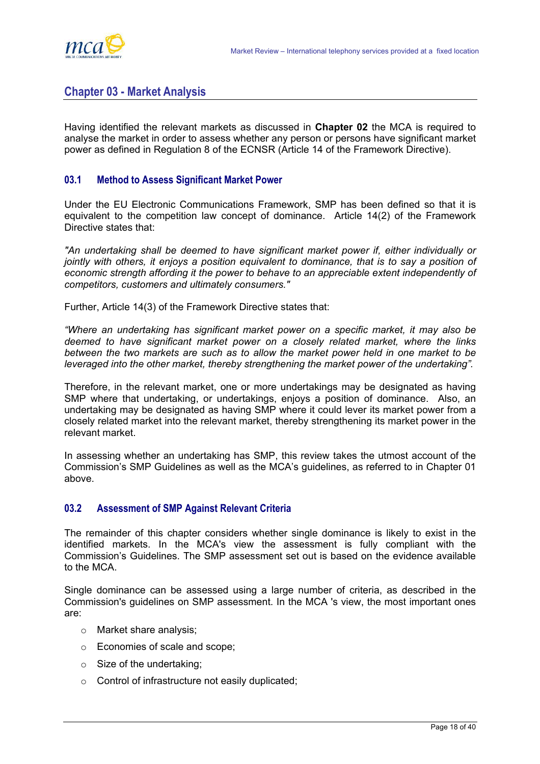<span id="page-19-0"></span>

# **Chapter 03 - Market Analysis**

Having identified the relevant markets as discussed in **Chapter 02** the MCA is required to analyse the market in order to assess whether any person or persons have significant market power as defined in Regulation 8 of the ECNSR (Article 14 of the Framework Directive).

# **03.1 Method to Assess Significant Market Power**

Under the EU Electronic Communications Framework, SMP has been defined so that it is equivalent to the competition law concept of dominance. Article 14(2) of the Framework Directive states that:

*"An undertaking shall be deemed to have significant market power if, either individually or jointly with others, it enjoys a position equivalent to dominance, that is to say a position of economic strength affording it the power to behave to an appreciable extent independently of competitors, customers and ultimately consumers."* 

Further, Article 14(3) of the Framework Directive states that:

*"Where an undertaking has significant market power on a specific market, it may also be deemed to have significant market power on a closely related market, where the links between the two markets are such as to allow the market power held in one market to be leveraged into the other market, thereby strengthening the market power of the undertaking".* 

Therefore, in the relevant market, one or more undertakings may be designated as having SMP where that undertaking, or undertakings, enjoys a position of dominance. Also, an undertaking may be designated as having SMP where it could lever its market power from a closely related market into the relevant market, thereby strengthening its market power in the relevant market.

In assessing whether an undertaking has SMP, this review takes the utmost account of the Commission's SMP Guidelines as well as the MCA's guidelines, as referred to in Chapter 01 above.

#### **03.2 Assessment of SMP Against Relevant Criteria**

The remainder of this chapter considers whether single dominance is likely to exist in the identified markets. In the MCA's view the assessment is fully compliant with the Commission's Guidelines. The SMP assessment set out is based on the evidence available to the MCA.

Single dominance can be assessed using a large number of criteria, as described in the Commission's guidelines on SMP assessment. In the MCA 's view, the most important ones are:

- o Market share analysis;
- o Economies of scale and scope;
- $\circ$  Size of the undertaking;
- o Control of infrastructure not easily duplicated;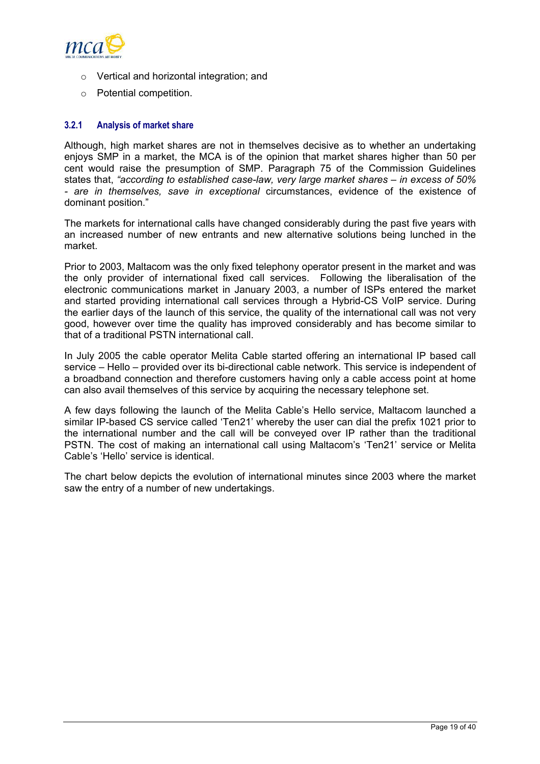

- o Vertical and horizontal integration; and
- o Potential competition.

## **3.2.1 Analysis of market share**

Although, high market shares are not in themselves decisive as to whether an undertaking enjoys SMP in a market, the MCA is of the opinion that market shares higher than 50 per cent would raise the presumption of SMP. Paragraph 75 of the Commission Guidelines states that, *"according to established case-law, very large market shares – in excess of 50% - are in themselves, save in exceptional* circumstances, evidence of the existence of dominant position."

The markets for international calls have changed considerably during the past five years with an increased number of new entrants and new alternative solutions being lunched in the market.

Prior to 2003, Maltacom was the only fixed telephony operator present in the market and was the only provider of international fixed call services. Following the liberalisation of the electronic communications market in January 2003, a number of ISPs entered the market and started providing international call services through a Hybrid-CS VoIP service. During the earlier days of the launch of this service, the quality of the international call was not very good, however over time the quality has improved considerably and has become similar to that of a traditional PSTN international call.

In July 2005 the cable operator Melita Cable started offering an international IP based call service – Hello – provided over its bi-directional cable network. This service is independent of a broadband connection and therefore customers having only a cable access point at home can also avail themselves of this service by acquiring the necessary telephone set.

A few days following the launch of the Melita Cable's Hello service, Maltacom launched a similar IP-based CS service called 'Ten21' whereby the user can dial the prefix 1021 prior to the international number and the call will be conveyed over IP rather than the traditional PSTN. The cost of making an international call using Maltacom's 'Ten21' service or Melita Cable's 'Hello' service is identical.

The chart below depicts the evolution of international minutes since 2003 where the market saw the entry of a number of new undertakings.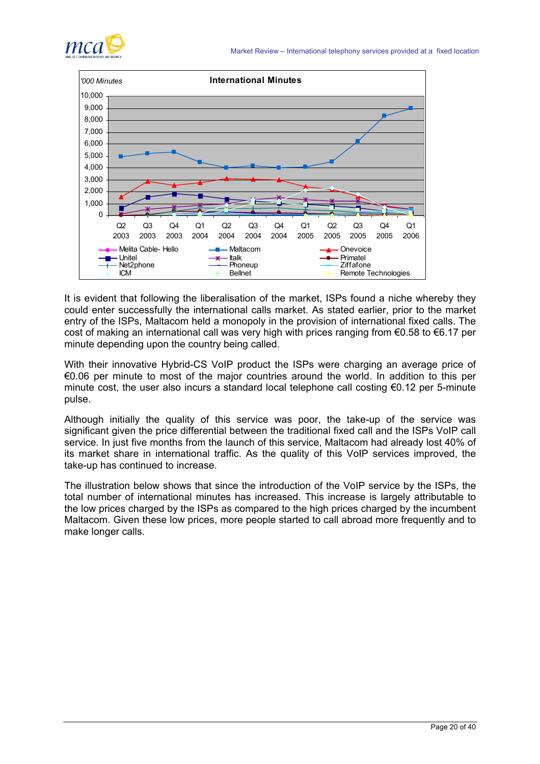



It is evident that following the liberalisation of the market, ISPs found a niche whereby they could enter successfully the international calls market. As stated earlier, prior to the market entry of the ISPs, Maltacom held a monopoly in the provision of international fixed calls. The cost of making an international call was very high with prices ranging from €0.58 to €6.17 per minute depending upon the country being called.

With their innovative Hybrid-CS VoIP product the ISPs were charging an average price of €0.06 per minute to most of the major countries around the world. In addition to this per minute cost, the user also incurs a standard local telephone call costing €0.12 per 5-minute pulse.

Although initially the quality of this service was poor, the take-up of the service was significant given the price differential between the traditional fixed call and the ISPs VoIP call service. In just five months from the launch of this service, Maltacom had already lost 40% of its market share in international traffic. As the quality of this VoIP services improved, the take-up has continued to increase.

The illustration below shows that since the introduction of the VoIP service by the ISPs, the total number of international minutes has increased. This increase is largely attributable to the low prices charged by the ISPs as compared to the high prices charged by the incumbent Maltacom. Given these low prices, more people started to call abroad more frequently and to make longer calls.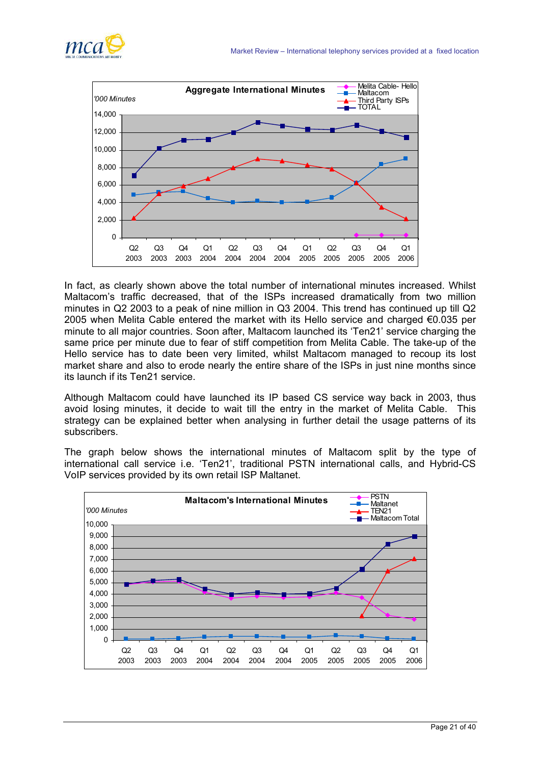



In fact, as clearly shown above the total number of international minutes increased. Whilst Maltacom's traffic decreased, that of the ISPs increased dramatically from two million minutes in Q2 2003 to a peak of nine million in Q3 2004. This trend has continued up till Q2 2005 when Melita Cable entered the market with its Hello service and charged  $\epsilon$ 0.035 per minute to all major countries. Soon after, Maltacom launched its 'Ten21' service charging the same price per minute due to fear of stiff competition from Melita Cable. The take-up of the Hello service has to date been very limited, whilst Maltacom managed to recoup its lost market share and also to erode nearly the entire share of the ISPs in just nine months since its launch if its Ten21 service.

Although Maltacom could have launched its IP based CS service way back in 2003, thus avoid losing minutes, it decide to wait till the entry in the market of Melita Cable. This strategy can be explained better when analysing in further detail the usage patterns of its subscribers.

The graph below shows the international minutes of Maltacom split by the type of international call service i.e. 'Ten21', traditional PSTN international calls, and Hybrid-CS VoIP services provided by its own retail ISP Maltanet.

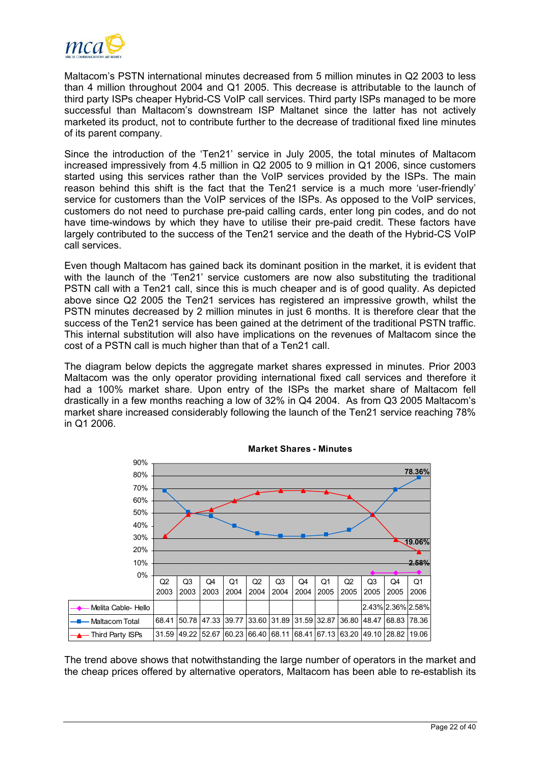

Maltacom's PSTN international minutes decreased from 5 million minutes in Q2 2003 to less than 4 million throughout 2004 and Q1 2005. This decrease is attributable to the launch of third party ISPs cheaper Hybrid-CS VoIP call services. Third party ISPs managed to be more successful than Maltacom's downstream ISP Maltanet since the latter has not actively marketed its product, not to contribute further to the decrease of traditional fixed line minutes of its parent company.

Since the introduction of the 'Ten21' service in July 2005, the total minutes of Maltacom increased impressively from 4.5 million in Q2 2005 to 9 million in Q1 2006, since customers started using this services rather than the VoIP services provided by the ISPs. The main reason behind this shift is the fact that the Ten21 service is a much more 'user-friendly' service for customers than the VoIP services of the ISPs. As opposed to the VoIP services, customers do not need to purchase pre-paid calling cards, enter long pin codes, and do not have time-windows by which they have to utilise their pre-paid credit. These factors have largely contributed to the success of the Ten21 service and the death of the Hybrid-CS VoIP call services.

Even though Maltacom has gained back its dominant position in the market, it is evident that with the launch of the 'Ten21' service customers are now also substituting the traditional PSTN call with a Ten21 call, since this is much cheaper and is of good quality. As depicted above since Q2 2005 the Ten21 services has registered an impressive growth, whilst the PSTN minutes decreased by 2 million minutes in just 6 months. It is therefore clear that the success of the Ten21 service has been gained at the detriment of the traditional PSTN traffic. This internal substitution will also have implications on the revenues of Maltacom since the cost of a PSTN call is much higher than that of a Ten21 call.

The diagram below depicts the aggregate market shares expressed in minutes. Prior 2003 Maltacom was the only operator providing international fixed call services and therefore it had a 100% market share. Upon entry of the ISPs the market share of Maltacom fell drastically in a few months reaching a low of 32% in Q4 2004. As from Q3 2005 Maltacom's market share increased considerably following the launch of the Ten21 service reaching 78% in Q1 2006.





The trend above shows that notwithstanding the large number of operators in the market and the cheap prices offered by alternative operators, Maltacom has been able to re-establish its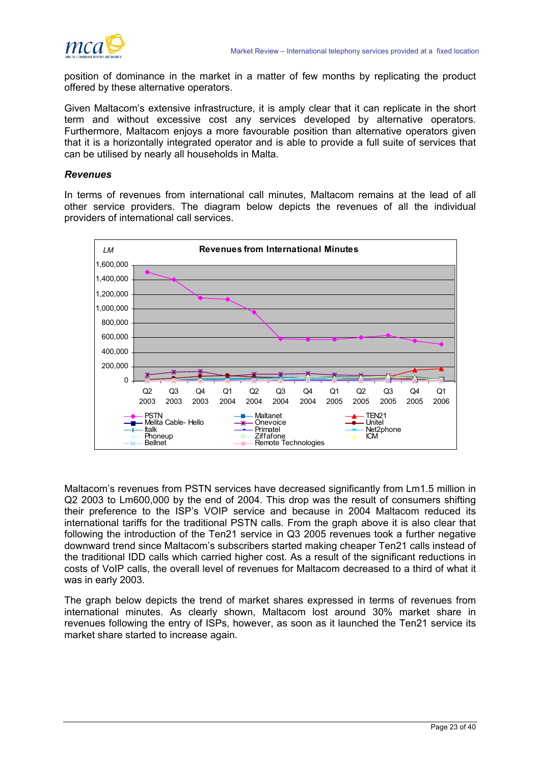

position of dominance in the market in a matter of few months by replicating the product offered by these alternative operators.

Given Maltacom's extensive infrastructure, it is amply clear that it can replicate in the short term and without excessive cost any services developed by alternative operators. Furthermore, Maltacom enjoys a more favourable position than alternative operators given that it is a horizontally integrated operator and is able to provide a full suite of services that can be utilised by nearly all households in Malta.

## *Revenues*

In terms of revenues from international call minutes, Maltacom remains at the lead of all other service providers. The diagram below depicts the revenues of all the individual providers of international call services.



Maltacom's revenues from PSTN services have decreased significantly from Lm1.5 million in Q2 2003 to Lm600,000 by the end of 2004. This drop was the result of consumers shifting their preference to the ISP's VOIP service and because in 2004 Maltacom reduced its international tariffs for the traditional PSTN calls. From the graph above it is also clear that following the introduction of the Ten21 service in Q3 2005 revenues took a further negative downward trend since Maltacom's subscribers started making cheaper Ten21 calls instead of the traditional IDD calls which carried higher cost. As a result of the significant reductions in costs of VoIP calls, the overall level of revenues for Maltacom decreased to a third of what it was in early 2003.

The graph below depicts the trend of market shares expressed in terms of revenues from international minutes. As clearly shown, Maltacom lost around 30% market share in revenues following the entry of ISPs, however, as soon as it launched the Ten21 service its market share started to increase again.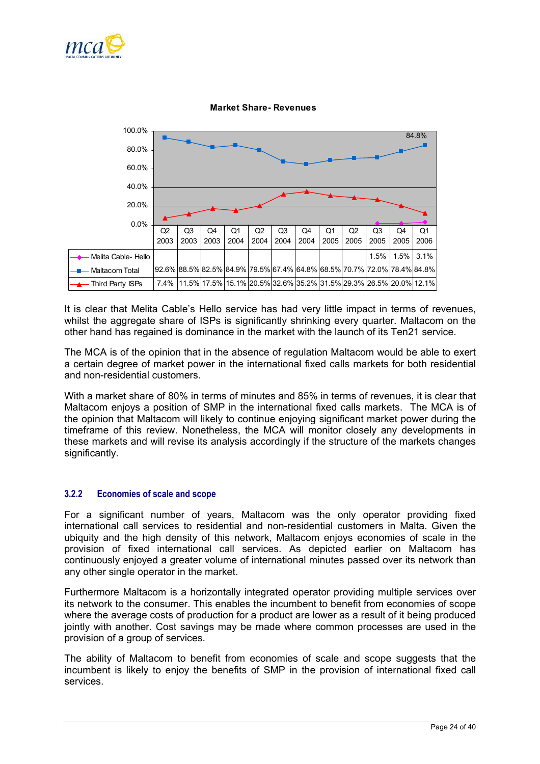



#### **Market Share- Revenues**

It is clear that Melita Cable's Hello service has had very little impact in terms of revenues, whilst the aggregate share of ISPs is significantly shrinking every quarter. Maltacom on the other hand has regained is dominance in the market with the launch of its Ten21 service.

The MCA is of the opinion that in the absence of regulation Maltacom would be able to exert a certain degree of market power in the international fixed calls markets for both residential and non-residential customers.

With a market share of 80% in terms of minutes and 85% in terms of revenues, it is clear that Maltacom enjoys a position of SMP in the international fixed calls markets. The MCA is of the opinion that Maltacom will likely to continue enjoying significant market power during the timeframe of this review. Nonetheless, the MCA will monitor closely any developments in these markets and will revise its analysis accordingly if the structure of the markets changes significantly.

## **3.2.2 Economies of scale and scope**

For a significant number of years, Maltacom was the only operator providing fixed international call services to residential and non-residential customers in Malta. Given the ubiquity and the high density of this network, Maltacom enjoys economies of scale in the provision of fixed international call services. As depicted earlier on Maltacom has continuously enjoyed a greater volume of international minutes passed over its network than any other single operator in the market.

Furthermore Maltacom is a horizontally integrated operator providing multiple services over its network to the consumer. This enables the incumbent to benefit from economies of scope where the average costs of production for a product are lower as a result of it being produced jointly with another. Cost savings may be made where common processes are used in the provision of a group of services.

The ability of Maltacom to benefit from economies of scale and scope suggests that the incumbent is likely to enjoy the benefits of SMP in the provision of international fixed call services.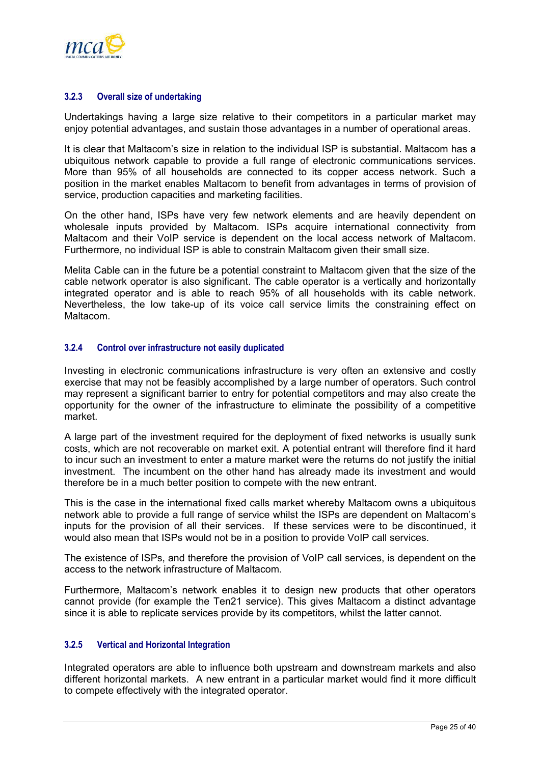

## **3.2.3 Overall size of undertaking**

Undertakings having a large size relative to their competitors in a particular market may enjoy potential advantages, and sustain those advantages in a number of operational areas.

It is clear that Maltacom's size in relation to the individual ISP is substantial. Maltacom has a ubiquitous network capable to provide a full range of electronic communications services. More than 95% of all households are connected to its copper access network. Such a position in the market enables Maltacom to benefit from advantages in terms of provision of service, production capacities and marketing facilities.

On the other hand, ISPs have very few network elements and are heavily dependent on wholesale inputs provided by Maltacom. ISPs acquire international connectivity from Maltacom and their VoIP service is dependent on the local access network of Maltacom. Furthermore, no individual ISP is able to constrain Maltacom given their small size.

Melita Cable can in the future be a potential constraint to Maltacom given that the size of the cable network operator is also significant. The cable operator is a vertically and horizontally integrated operator and is able to reach 95% of all households with its cable network. Nevertheless, the low take-up of its voice call service limits the constraining effect on Maltacom.

## **3.2.4 Control over infrastructure not easily duplicated**

Investing in electronic communications infrastructure is very often an extensive and costly exercise that may not be feasibly accomplished by a large number of operators. Such control may represent a significant barrier to entry for potential competitors and may also create the opportunity for the owner of the infrastructure to eliminate the possibility of a competitive market.

A large part of the investment required for the deployment of fixed networks is usually sunk costs, which are not recoverable on market exit. A potential entrant will therefore find it hard to incur such an investment to enter a mature market were the returns do not justify the initial investment. The incumbent on the other hand has already made its investment and would therefore be in a much better position to compete with the new entrant.

This is the case in the international fixed calls market whereby Maltacom owns a ubiquitous network able to provide a full range of service whilst the ISPs are dependent on Maltacom's inputs for the provision of all their services. If these services were to be discontinued, it would also mean that ISPs would not be in a position to provide VoIP call services.

The existence of ISPs, and therefore the provision of VoIP call services, is dependent on the access to the network infrastructure of Maltacom.

Furthermore, Maltacom's network enables it to design new products that other operators cannot provide (for example the Ten21 service). This gives Maltacom a distinct advantage since it is able to replicate services provide by its competitors, whilst the latter cannot.

### **3.2.5 Vertical and Horizontal Integration**

Integrated operators are able to influence both upstream and downstream markets and also different horizontal markets. A new entrant in a particular market would find it more difficult to compete effectively with the integrated operator.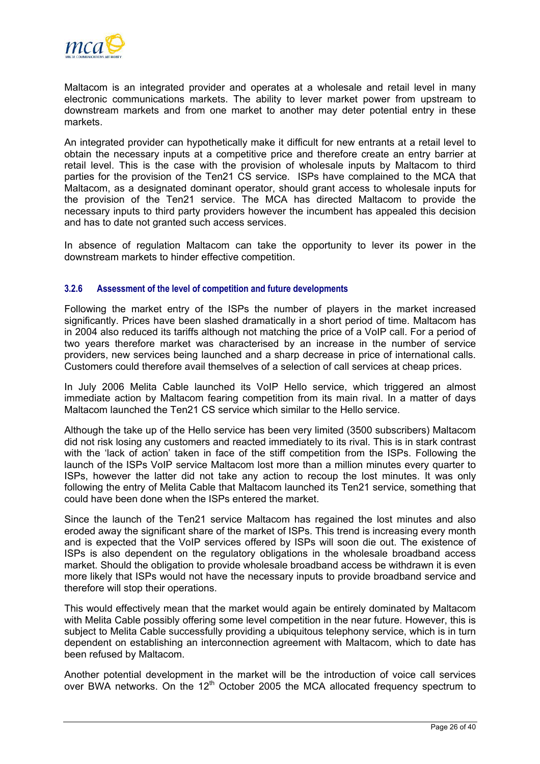

Maltacom is an integrated provider and operates at a wholesale and retail level in many electronic communications markets. The ability to lever market power from upstream to downstream markets and from one market to another may deter potential entry in these markets.

An integrated provider can hypothetically make it difficult for new entrants at a retail level to obtain the necessary inputs at a competitive price and therefore create an entry barrier at retail level. This is the case with the provision of wholesale inputs by Maltacom to third parties for the provision of the Ten21 CS service. ISPs have complained to the MCA that Maltacom, as a designated dominant operator, should grant access to wholesale inputs for the provision of the Ten21 service. The MCA has directed Maltacom to provide the necessary inputs to third party providers however the incumbent has appealed this decision and has to date not granted such access services.

In absence of regulation Maltacom can take the opportunity to lever its power in the downstream markets to hinder effective competition.

## **3.2.6 Assessment of the level of competition and future developments**

Following the market entry of the ISPs the number of players in the market increased significantly. Prices have been slashed dramatically in a short period of time. Maltacom has in 2004 also reduced its tariffs although not matching the price of a VoIP call. For a period of two years therefore market was characterised by an increase in the number of service providers, new services being launched and a sharp decrease in price of international calls. Customers could therefore avail themselves of a selection of call services at cheap prices.

In July 2006 Melita Cable launched its VoIP Hello service, which triggered an almost immediate action by Maltacom fearing competition from its main rival. In a matter of days Maltacom launched the Ten21 CS service which similar to the Hello service.

Although the take up of the Hello service has been very limited (3500 subscribers) Maltacom did not risk losing any customers and reacted immediately to its rival. This is in stark contrast with the 'lack of action' taken in face of the stiff competition from the ISPs. Following the launch of the ISPs VoIP service Maltacom lost more than a million minutes every quarter to ISPs, however the latter did not take any action to recoup the lost minutes. It was only following the entry of Melita Cable that Maltacom launched its Ten21 service, something that could have been done when the ISPs entered the market.

Since the launch of the Ten21 service Maltacom has regained the lost minutes and also eroded away the significant share of the market of ISPs. This trend is increasing every month and is expected that the VoIP services offered by ISPs will soon die out. The existence of ISPs is also dependent on the regulatory obligations in the wholesale broadband access market. Should the obligation to provide wholesale broadband access be withdrawn it is even more likely that ISPs would not have the necessary inputs to provide broadband service and therefore will stop their operations.

This would effectively mean that the market would again be entirely dominated by Maltacom with Melita Cable possibly offering some level competition in the near future. However, this is subject to Melita Cable successfully providing a ubiquitous telephony service, which is in turn dependent on establishing an interconnection agreement with Maltacom, which to date has been refused by Maltacom.

Another potential development in the market will be the introduction of voice call services over BWA networks. On the  $12<sup>th</sup>$  October 2005 the MCA allocated frequency spectrum to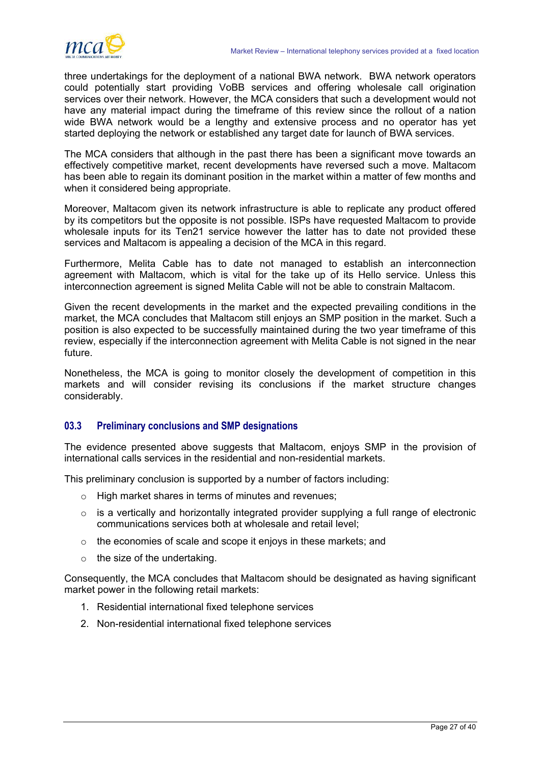<span id="page-28-0"></span>

three undertakings for the deployment of a national BWA network. BWA network operators could potentially start providing VoBB services and offering wholesale call origination services over their network. However, the MCA considers that such a development would not have any material impact during the timeframe of this review since the rollout of a nation wide BWA network would be a lengthy and extensive process and no operator has yet started deploying the network or established any target date for launch of BWA services.

The MCA considers that although in the past there has been a significant move towards an effectively competitive market, recent developments have reversed such a move. Maltacom has been able to regain its dominant position in the market within a matter of few months and when it considered being appropriate.

Moreover, Maltacom given its network infrastructure is able to replicate any product offered by its competitors but the opposite is not possible. ISPs have requested Maltacom to provide wholesale inputs for its Ten21 service however the latter has to date not provided these services and Maltacom is appealing a decision of the MCA in this regard.

Furthermore, Melita Cable has to date not managed to establish an interconnection agreement with Maltacom, which is vital for the take up of its Hello service. Unless this interconnection agreement is signed Melita Cable will not be able to constrain Maltacom.

Given the recent developments in the market and the expected prevailing conditions in the market, the MCA concludes that Maltacom still enjoys an SMP position in the market. Such a position is also expected to be successfully maintained during the two year timeframe of this review, especially if the interconnection agreement with Melita Cable is not signed in the near future.

Nonetheless, the MCA is going to monitor closely the development of competition in this markets and will consider revising its conclusions if the market structure changes considerably.

# **03.3 Preliminary conclusions and SMP designations**

The evidence presented above suggests that Maltacom, enjoys SMP in the provision of international calls services in the residential and non-residential markets.

This preliminary conclusion is supported by a number of factors including:

- o High market shares in terms of minutes and revenues;
- $\circ$  is a vertically and horizontally integrated provider supplying a full range of electronic communications services both at wholesale and retail level;
- o the economies of scale and scope it enjoys in these markets; and
- $\circ$  the size of the undertaking.

Consequently, the MCA concludes that Maltacom should be designated as having significant market power in the following retail markets:

- 1. Residential international fixed telephone services
- 2. Non-residential international fixed telephone services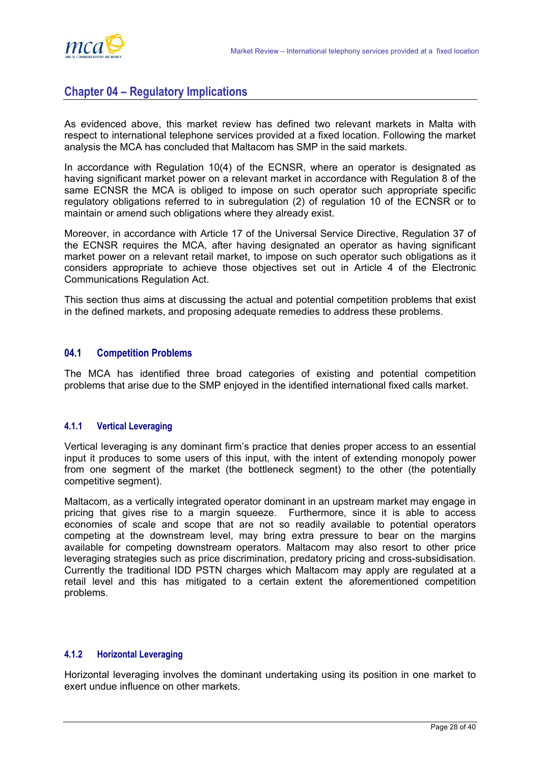<span id="page-29-0"></span>

# **Chapter 04 – Regulatory Implications**

As evidenced above, this market review has defined two relevant markets in Malta with respect to international telephone services provided at a fixed location. Following the market analysis the MCA has concluded that Maltacom has SMP in the said markets.

In accordance with Regulation 10(4) of the ECNSR, where an operator is designated as having significant market power on a relevant market in accordance with Regulation 8 of the same ECNSR the MCA is obliged to impose on such operator such appropriate specific regulatory obligations referred to in subregulation (2) of regulation 10 of the ECNSR or to maintain or amend such obligations where they already exist.

Moreover, in accordance with Article 17 of the Universal Service Directive, Regulation 37 of the ECNSR requires the MCA, after having designated an operator as having significant market power on a relevant retail market, to impose on such operator such obligations as it considers appropriate to achieve those objectives set out in Article 4 of the Electronic Communications Regulation Act.

This section thus aims at discussing the actual and potential competition problems that exist in the defined markets, and proposing adequate remedies to address these problems.

# **04.1 Competition Problems**

The MCA has identified three broad categories of existing and potential competition problems that arise due to the SMP enjoyed in the identified international fixed calls market.

# **4.1.1 Vertical Leveraging**

Vertical leveraging is any dominant firm's practice that denies proper access to an essential input it produces to some users of this input, with the intent of extending monopoly power from one segment of the market (the bottleneck segment) to the other (the potentially competitive segment).

Maltacom, as a vertically integrated operator dominant in an upstream market may engage in pricing that gives rise to a margin squeeze. Furthermore, since it is able to access economies of scale and scope that are not so readily available to potential operators competing at the downstream level, may bring extra pressure to bear on the margins available for competing downstream operators. Maltacom may also resort to other price leveraging strategies such as price discrimination, predatory pricing and cross-subsidisation. Currently the traditional IDD PSTN charges which Maltacom may apply are regulated at a retail level and this has mitigated to a certain extent the aforementioned competition problems.

## **4.1.2 Horizontal Leveraging**

Horizontal leveraging involves the dominant undertaking using its position in one market to exert undue influence on other markets.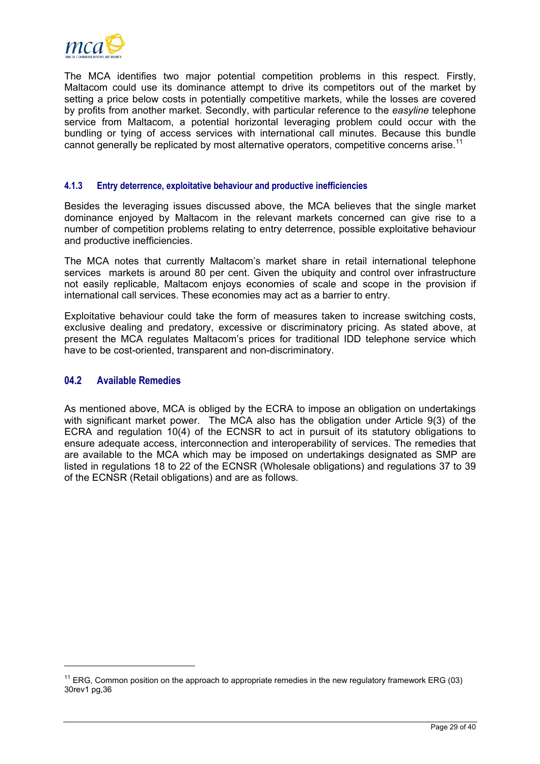<span id="page-30-0"></span>

The MCA identifies two major potential competition problems in this respect. Firstly, Maltacom could use its dominance attempt to drive its competitors out of the market by setting a price below costs in potentially competitive markets, while the losses are covered by profits from another market. Secondly, with particular reference to the *easyline* telephone service from Maltacom, a potential horizontal leveraging problem could occur with the bundling or tying of access services with international call minutes. Because this bundle cannot generally be replicated by most alternative operators, competitive concerns arise.<sup>11</sup>

# **4.1.3 Entry deterrence, exploitative behaviour and productive inefficiencies**

Besides the leveraging issues discussed above, the MCA believes that the single market dominance enjoyed by Maltacom in the relevant markets concerned can give rise to a number of competition problems relating to entry deterrence, possible exploitative behaviour and productive inefficiencies.

The MCA notes that currently Maltacom's market share in retail international telephone services markets is around 80 per cent. Given the ubiquity and control over infrastructure not easily replicable, Maltacom enjoys economies of scale and scope in the provision if international call services. These economies may act as a barrier to entry.

Exploitative behaviour could take the form of measures taken to increase switching costs, exclusive dealing and predatory, excessive or discriminatory pricing. As stated above, at present the MCA regulates Maltacom's prices for traditional IDD telephone service which have to be cost-oriented, transparent and non-discriminatory.

## **04.2 Available Remedies**

l

As mentioned above, MCA is obliged by the ECRA to impose an obligation on undertakings with significant market power. The MCA also has the obligation under Article 9(3) of the ECRA and regulation 10(4) of the ECNSR to act in pursuit of its statutory obligations to ensure adequate access, interconnection and interoperability of services. The remedies that are available to the MCA which may be imposed on undertakings designated as SMP are listed in regulations 18 to 22 of the ECNSR (Wholesale obligations) and regulations 37 to 39 of the ECNSR (Retail obligations) and are as follows.

<span id="page-30-1"></span> $11$  ERG, Common position on the approach to appropriate remedies in the new regulatory framework ERG (03) 30rev1 pg,36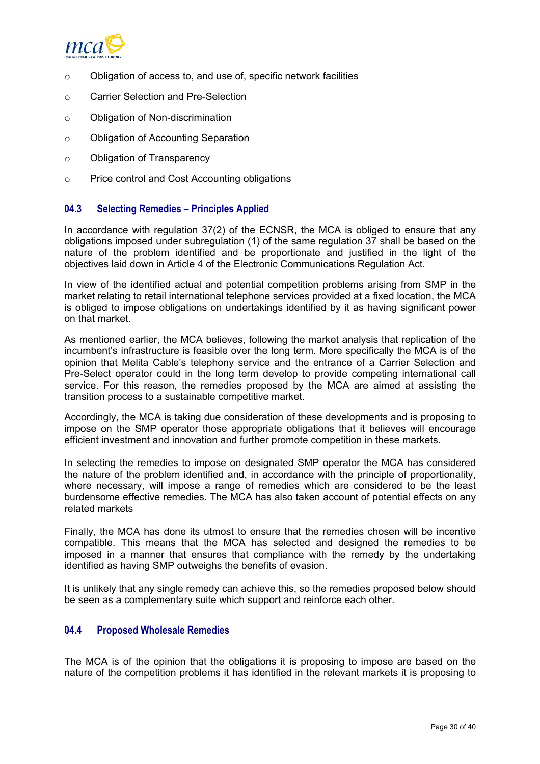<span id="page-31-0"></span>

- o Obligation of access to, and use of, specific network facilities
- o Carrier Selection and Pre-Selection
- o Obligation of Non-discrimination
- o Obligation of Accounting Separation
- o Obligation of Transparency
- o Price control and Cost Accounting obligations

# **04.3 Selecting Remedies – Principles Applied**

In accordance with regulation 37(2) of the ECNSR, the MCA is obliged to ensure that any obligations imposed under subregulation (1) of the same regulation 37 shall be based on the nature of the problem identified and be proportionate and justified in the light of the objectives laid down in Article 4 of the Electronic Communications Regulation Act.

In view of the identified actual and potential competition problems arising from SMP in the market relating to retail international telephone services provided at a fixed location, the MCA is obliged to impose obligations on undertakings identified by it as having significant power on that market.

As mentioned earlier, the MCA believes, following the market analysis that replication of the incumbent's infrastructure is feasible over the long term. More specifically the MCA is of the opinion that Melita Cable's telephony service and the entrance of a Carrier Selection and Pre-Select operator could in the long term develop to provide competing international call service. For this reason, the remedies proposed by the MCA are aimed at assisting the transition process to a sustainable competitive market.

Accordingly, the MCA is taking due consideration of these developments and is proposing to impose on the SMP operator those appropriate obligations that it believes will encourage efficient investment and innovation and further promote competition in these markets.

In selecting the remedies to impose on designated SMP operator the MCA has considered the nature of the problem identified and, in accordance with the principle of proportionality, where necessary, will impose a range of remedies which are considered to be the least burdensome effective remedies. The MCA has also taken account of potential effects on any related markets

Finally, the MCA has done its utmost to ensure that the remedies chosen will be incentive compatible. This means that the MCA has selected and designed the remedies to be imposed in a manner that ensures that compliance with the remedy by the undertaking identified as having SMP outweighs the benefits of evasion.

It is unlikely that any single remedy can achieve this, so the remedies proposed below should be seen as a complementary suite which support and reinforce each other.

# **04.4 Proposed Wholesale Remedies**

The MCA is of the opinion that the obligations it is proposing to impose are based on the nature of the competition problems it has identified in the relevant markets it is proposing to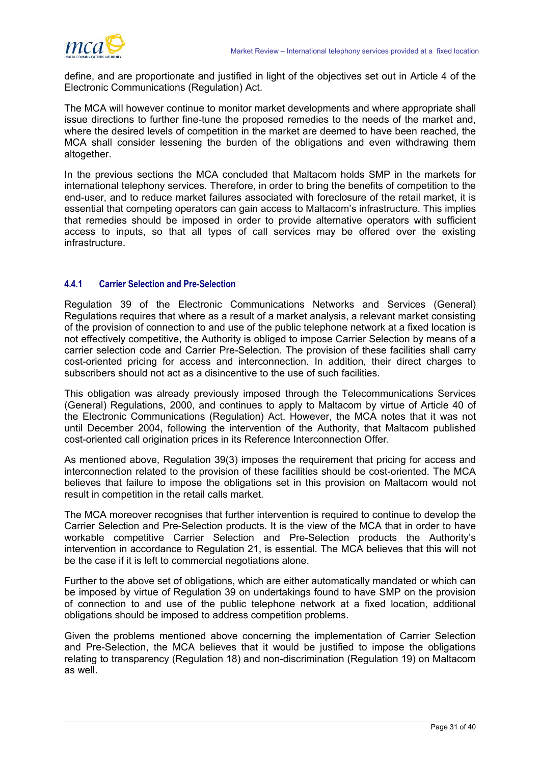

define, and are proportionate and justified in light of the objectives set out in Article 4 of the Electronic Communications (Regulation) Act.

The MCA will however continue to monitor market developments and where appropriate shall issue directions to further fine-tune the proposed remedies to the needs of the market and, where the desired levels of competition in the market are deemed to have been reached, the MCA shall consider lessening the burden of the obligations and even withdrawing them altogether.

In the previous sections the MCA concluded that Maltacom holds SMP in the markets for international telephony services. Therefore, in order to bring the benefits of competition to the end-user, and to reduce market failures associated with foreclosure of the retail market, it is essential that competing operators can gain access to Maltacom's infrastructure. This implies that remedies should be imposed in order to provide alternative operators with sufficient access to inputs, so that all types of call services may be offered over the existing infrastructure.

# **4.4.1 Carrier Selection and Pre-Selection**

Regulation 39 of the Electronic Communications Networks and Services (General) Regulations requires that where as a result of a market analysis, a relevant market consisting of the provision of connection to and use of the public telephone network at a fixed location is not effectively competitive, the Authority is obliged to impose Carrier Selection by means of a carrier selection code and Carrier Pre-Selection. The provision of these facilities shall carry cost-oriented pricing for access and interconnection. In addition, their direct charges to subscribers should not act as a disincentive to the use of such facilities.

This obligation was already previously imposed through the Telecommunications Services (General) Regulations, 2000, and continues to apply to Maltacom by virtue of Article 40 of the Electronic Communications (Regulation) Act. However, the MCA notes that it was not until December 2004, following the intervention of the Authority, that Maltacom published cost-oriented call origination prices in its Reference Interconnection Offer.

As mentioned above, Regulation 39(3) imposes the requirement that pricing for access and interconnection related to the provision of these facilities should be cost-oriented. The MCA believes that failure to impose the obligations set in this provision on Maltacom would not result in competition in the retail calls market.

The MCA moreover recognises that further intervention is required to continue to develop the Carrier Selection and Pre-Selection products. It is the view of the MCA that in order to have workable competitive Carrier Selection and Pre-Selection products the Authority's intervention in accordance to Regulation 21, is essential. The MCA believes that this will not be the case if it is left to commercial negotiations alone.

Further to the above set of obligations, which are either automatically mandated or which can be imposed by virtue of Regulation 39 on undertakings found to have SMP on the provision of connection to and use of the public telephone network at a fixed location, additional obligations should be imposed to address competition problems.

Given the problems mentioned above concerning the implementation of Carrier Selection and Pre-Selection, the MCA believes that it would be justified to impose the obligations relating to transparency (Regulation 18) and non-discrimination (Regulation 19) on Maltacom as well.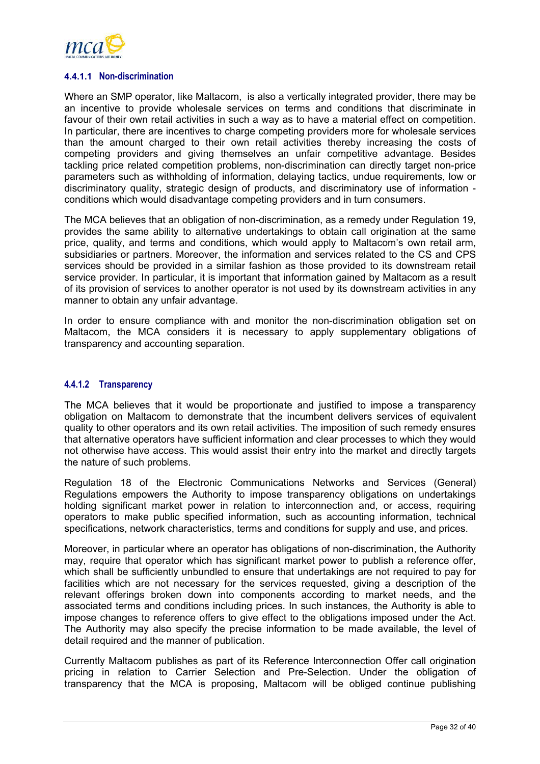

#### **4.4.1.1 Non-discrimination**

Where an SMP operator, like Maltacom, is also a vertically integrated provider, there may be an incentive to provide wholesale services on terms and conditions that discriminate in favour of their own retail activities in such a way as to have a material effect on competition. In particular, there are incentives to charge competing providers more for wholesale services than the amount charged to their own retail activities thereby increasing the costs of competing providers and giving themselves an unfair competitive advantage. Besides tackling price related competition problems, non-discrimination can directly target non-price parameters such as withholding of information, delaying tactics, undue requirements, low or discriminatory quality, strategic design of products, and discriminatory use of information conditions which would disadvantage competing providers and in turn consumers.

The MCA believes that an obligation of non-discrimination, as a remedy under Regulation 19, provides the same ability to alternative undertakings to obtain call origination at the same price, quality, and terms and conditions, which would apply to Maltacom's own retail arm, subsidiaries or partners. Moreover, the information and services related to the CS and CPS services should be provided in a similar fashion as those provided to its downstream retail service provider. In particular, it is important that information gained by Maltacom as a result of its provision of services to another operator is not used by its downstream activities in any manner to obtain any unfair advantage.

In order to ensure compliance with and monitor the non-discrimination obligation set on Maltacom, the MCA considers it is necessary to apply supplementary obligations of transparency and accounting separation.

# **4.4.1.2 Transparency**

The MCA believes that it would be proportionate and justified to impose a transparency obligation on Maltacom to demonstrate that the incumbent delivers services of equivalent quality to other operators and its own retail activities. The imposition of such remedy ensures that alternative operators have sufficient information and clear processes to which they would not otherwise have access. This would assist their entry into the market and directly targets the nature of such problems.

Regulation 18 of the Electronic Communications Networks and Services (General) Regulations empowers the Authority to impose transparency obligations on undertakings holding significant market power in relation to interconnection and, or access, requiring operators to make public specified information, such as accounting information, technical specifications, network characteristics, terms and conditions for supply and use, and prices.

Moreover, in particular where an operator has obligations of non-discrimination, the Authority may, require that operator which has significant market power to publish a reference offer, which shall be sufficiently unbundled to ensure that undertakings are not required to pay for facilities which are not necessary for the services requested, giving a description of the relevant offerings broken down into components according to market needs, and the associated terms and conditions including prices. In such instances, the Authority is able to impose changes to reference offers to give effect to the obligations imposed under the Act. The Authority may also specify the precise information to be made available, the level of detail required and the manner of publication.

Currently Maltacom publishes as part of its Reference Interconnection Offer call origination pricing in relation to Carrier Selection and Pre-Selection. Under the obligation of transparency that the MCA is proposing, Maltacom will be obliged continue publishing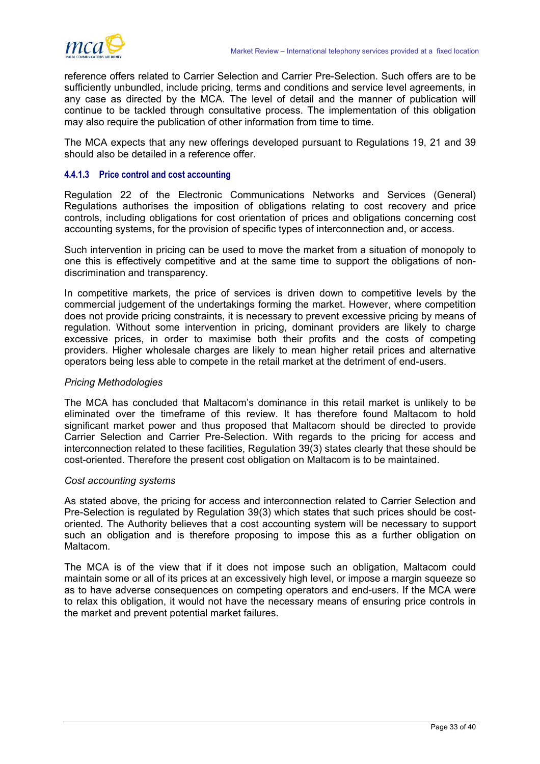

reference offers related to Carrier Selection and Carrier Pre-Selection. Such offers are to be sufficiently unbundled, include pricing, terms and conditions and service level agreements, in any case as directed by the MCA. The level of detail and the manner of publication will continue to be tackled through consultative process. The implementation of this obligation may also require the publication of other information from time to time.

The MCA expects that any new offerings developed pursuant to Regulations 19, 21 and 39 should also be detailed in a reference offer.

#### **4.4.1.3 Price control and cost accounting**

Regulation 22 of the Electronic Communications Networks and Services (General) Regulations authorises the imposition of obligations relating to cost recovery and price controls, including obligations for cost orientation of prices and obligations concerning cost accounting systems, for the provision of specific types of interconnection and, or access.

Such intervention in pricing can be used to move the market from a situation of monopoly to one this is effectively competitive and at the same time to support the obligations of nondiscrimination and transparency.

In competitive markets, the price of services is driven down to competitive levels by the commercial judgement of the undertakings forming the market. However, where competition does not provide pricing constraints, it is necessary to prevent excessive pricing by means of regulation. Without some intervention in pricing, dominant providers are likely to charge excessive prices, in order to maximise both their profits and the costs of competing providers. Higher wholesale charges are likely to mean higher retail prices and alternative operators being less able to compete in the retail market at the detriment of end-users.

#### *Pricing Methodologies*

The MCA has concluded that Maltacom's dominance in this retail market is unlikely to be eliminated over the timeframe of this review. It has therefore found Maltacom to hold significant market power and thus proposed that Maltacom should be directed to provide Carrier Selection and Carrier Pre-Selection. With regards to the pricing for access and interconnection related to these facilities, Regulation 39(3) states clearly that these should be cost-oriented. Therefore the present cost obligation on Maltacom is to be maintained.

#### *Cost accounting systems*

As stated above, the pricing for access and interconnection related to Carrier Selection and Pre-Selection is regulated by Regulation 39(3) which states that such prices should be costoriented. The Authority believes that a cost accounting system will be necessary to support such an obligation and is therefore proposing to impose this as a further obligation on Maltacom.

The MCA is of the view that if it does not impose such an obligation, Maltacom could maintain some or all of its prices at an excessively high level, or impose a margin squeeze so as to have adverse consequences on competing operators and end-users. If the MCA were to relax this obligation, it would not have the necessary means of ensuring price controls in the market and prevent potential market failures.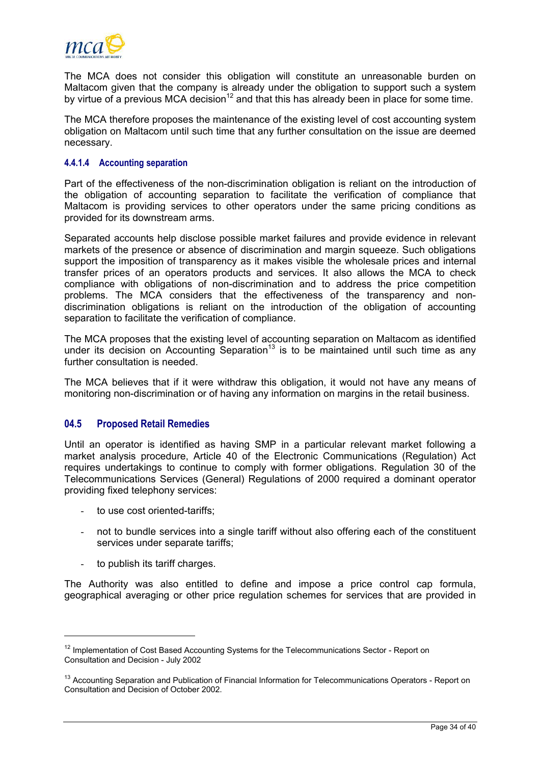<span id="page-35-0"></span>

The MCA does not consider this obligation will constitute an unreasonable burden on Maltacom given that the company is already under the obligation to support such a system by virtue of a previous MCA decision<sup>12</sup> and that this has already been in place for some time.

The MCA therefore proposes the maintenance of the existing level of cost accounting system obligation on Maltacom until such time that any further consultation on the issue are deemed necessary.

#### **4.4.1.4 Accounting separation**

Part of the effectiveness of the non-discrimination obligation is reliant on the introduction of the obligation of accounting separation to facilitate the verification of compliance that Maltacom is providing services to other operators under the same pricing conditions as provided for its downstream arms.

Separated accounts help disclose possible market failures and provide evidence in relevant markets of the presence or absence of discrimination and margin squeeze. Such obligations support the imposition of transparency as it makes visible the wholesale prices and internal transfer prices of an operators products and services. It also allows the MCA to check compliance with obligations of non-discrimination and to address the price competition problems. The MCA considers that the effectiveness of the transparency and nondiscrimination obligations is reliant on the introduction of the obligation of accounting separation to facilitate the verification of compliance.

The MCA proposes that the existing level of accounting separation on Maltacom as identified under its decision on Accounting Separation<sup>[13](#page-35-2)</sup> is to be maintained until such time as any further consultation is needed.

The MCA believes that if it were withdraw this obligation, it would not have any means of monitoring non-discrimination or of having any information on margins in the retail business.

# **04.5 Proposed Retail Remedies**

Until an operator is identified as having SMP in a particular relevant market following a market analysis procedure, Article 40 of the Electronic Communications (Regulation) Act requires undertakings to continue to comply with former obligations. Regulation 30 of the Telecommunications Services (General) Regulations of 2000 required a dominant operator providing fixed telephony services:

- to use cost oriented-tariffs;
- not to bundle services into a single tariff without also offering each of the constituent services under separate tariffs:
- to publish its tariff charges.

l

The Authority was also entitled to define and impose a price control cap formula, geographical averaging or other price regulation schemes for services that are provided in

<span id="page-35-1"></span><sup>&</sup>lt;sup>12</sup> Implementation of Cost Based Accounting Systems for the Telecommunications Sector - Report on Consultation and Decision - July 2002

<span id="page-35-2"></span><sup>&</sup>lt;sup>13</sup> Accounting Separation and Publication of Financial Information for Telecommunications Operators - Report on Consultation and Decision of October 2002.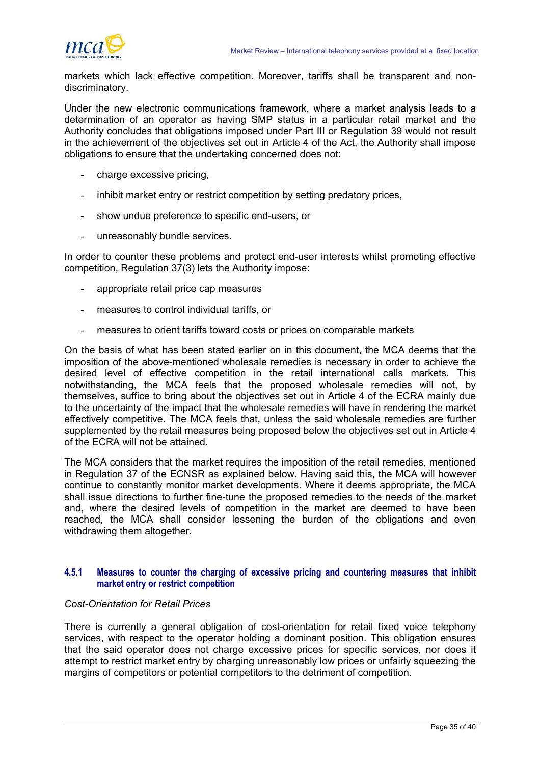

markets which lack effective competition. Moreover, tariffs shall be transparent and nondiscriminatory.

Under the new electronic communications framework, where a market analysis leads to a determination of an operator as having SMP status in a particular retail market and the Authority concludes that obligations imposed under Part III or Regulation 39 would not result in the achievement of the objectives set out in Article 4 of the Act, the Authority shall impose obligations to ensure that the undertaking concerned does not:

- charge excessive pricing,
- inhibit market entry or restrict competition by setting predatory prices,
- show undue preference to specific end-users, or
- unreasonably bundle services.

In order to counter these problems and protect end-user interests whilst promoting effective competition, Regulation 37(3) lets the Authority impose:

- appropriate retail price cap measures
- measures to control individual tariffs, or
- measures to orient tariffs toward costs or prices on comparable markets

On the basis of what has been stated earlier on in this document, the MCA deems that the imposition of the above-mentioned wholesale remedies is necessary in order to achieve the desired level of effective competition in the retail international calls markets. This notwithstanding, the MCA feels that the proposed wholesale remedies will not, by themselves, suffice to bring about the objectives set out in Article 4 of the ECRA mainly due to the uncertainty of the impact that the wholesale remedies will have in rendering the market effectively competitive. The MCA feels that, unless the said wholesale remedies are further supplemented by the retail measures being proposed below the objectives set out in Article 4 of the ECRA will not be attained.

The MCA considers that the market requires the imposition of the retail remedies, mentioned in Regulation 37 of the ECNSR as explained below. Having said this, the MCA will however continue to constantly monitor market developments. Where it deems appropriate, the MCA shall issue directions to further fine-tune the proposed remedies to the needs of the market and, where the desired levels of competition in the market are deemed to have been reached, the MCA shall consider lessening the burden of the obligations and even withdrawing them altogether.

### **4.5.1 Measures to counter the charging of excessive pricing and countering measures that inhibit market entry or restrict competition**

#### *Cost-Orientation for Retail Prices*

There is currently a general obligation of cost-orientation for retail fixed voice telephony services, with respect to the operator holding a dominant position. This obligation ensures that the said operator does not charge excessive prices for specific services, nor does it attempt to restrict market entry by charging unreasonably low prices or unfairly squeezing the margins of competitors or potential competitors to the detriment of competition.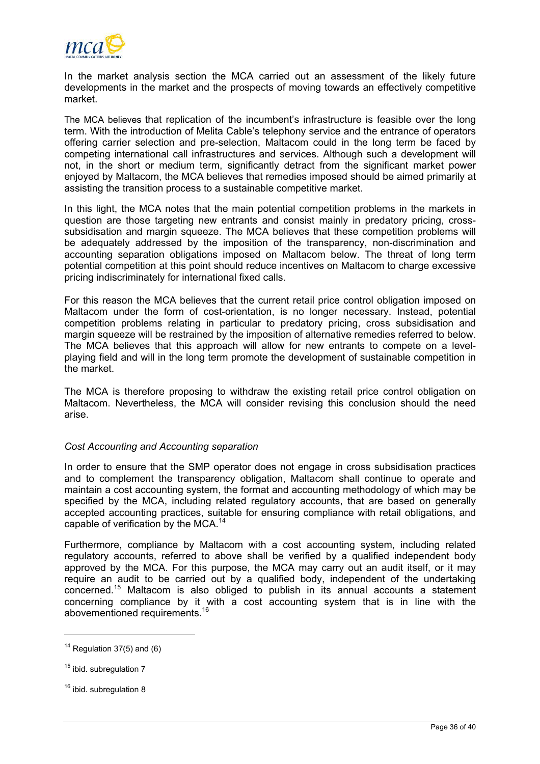

In the market analysis section the MCA carried out an assessment of the likely future developments in the market and the prospects of moving towards an effectively competitive market.

The MCA believes that replication of the incumbent's infrastructure is feasible over the long term. With the introduction of Melita Cable's telephony service and the entrance of operators offering carrier selection and pre-selection, Maltacom could in the long term be faced by competing international call infrastructures and services. Although such a development will not, in the short or medium term, significantly detract from the significant market power enjoyed by Maltacom, the MCA believes that remedies imposed should be aimed primarily at assisting the transition process to a sustainable competitive market.

In this light, the MCA notes that the main potential competition problems in the markets in question are those targeting new entrants and consist mainly in predatory pricing, crosssubsidisation and margin squeeze. The MCA believes that these competition problems will be adequately addressed by the imposition of the transparency, non-discrimination and accounting separation obligations imposed on Maltacom below. The threat of long term potential competition at this point should reduce incentives on Maltacom to charge excessive pricing indiscriminately for international fixed calls.

For this reason the MCA believes that the current retail price control obligation imposed on Maltacom under the form of cost-orientation, is no longer necessary. Instead, potential competition problems relating in particular to predatory pricing, cross subsidisation and margin squeeze will be restrained by the imposition of alternative remedies referred to below. The MCA believes that this approach will allow for new entrants to compete on a levelplaying field and will in the long term promote the development of sustainable competition in the market.

The MCA is therefore proposing to withdraw the existing retail price control obligation on Maltacom. Nevertheless, the MCA will consider revising this conclusion should the need arise.

# *Cost Accounting and Accounting separation*

In order to ensure that the SMP operator does not engage in cross subsidisation practices and to complement the transparency obligation, Maltacom shall continue to operate and maintain a cost accounting system, the format and accounting methodology of which may be specified by the MCA, including related regulatory accounts, that are based on generally accepted accounting practices, suitable for ensuring compliance with retail obligations, and capable of verification by the MCA.<sup>[14](#page-37-0)</sup>

Furthermore, compliance by Maltacom with a cost accounting system, including related regulatory accounts, referred to above shall be verified by a qualified independent body approved by the MCA. For this purpose, the MCA may carry out an audit itself, or it may require an audit to be carried out by a qualified body, independent of the undertaking concerned.[15](#page-37-1) Maltacom is also obliged to publish in its annual accounts a statement concerning compliance by it with a cost accounting system that is in line with the abovementioned requirements.[16](#page-37-2)

<span id="page-37-0"></span> $14$  Regulation 37(5) and (6)

<span id="page-37-1"></span> $15$  ibid. subregulation  $7$ 

<span id="page-37-2"></span><sup>&</sup>lt;sup>16</sup> ibid. subregulation 8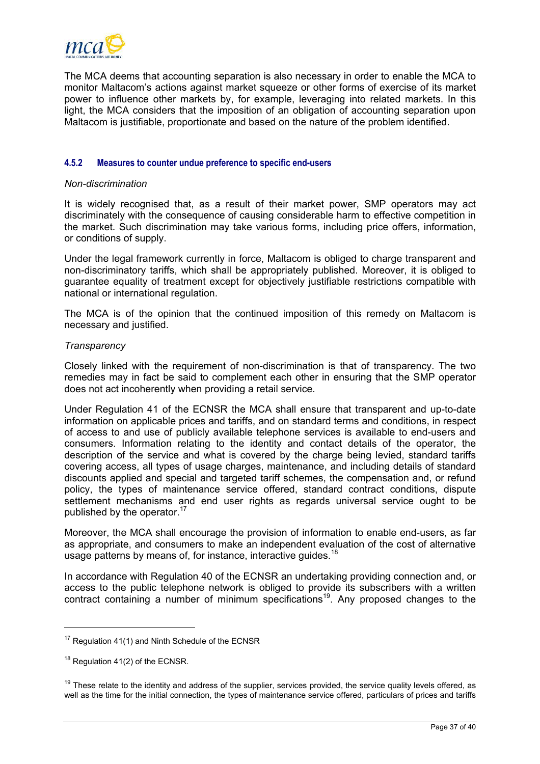<span id="page-38-2"></span>

The MCA deems that accounting separation is also necessary in order to enable the MCA to monitor Maltacom's actions against market squeeze or other forms of exercise of its market power to influence other markets by, for example, leveraging into related markets. In this light, the MCA considers that the imposition of an obligation of accounting separation upon Maltacom is justifiable, proportionate and based on the nature of the problem identified.

## **4.5.2 Measures to counter undue preference to specific end-users**

#### *Non-discrimination*

It is widely recognised that, as a result of their market power, SMP operators may act discriminately with the consequence of causing considerable harm to effective competition in the market. Such discrimination may take various forms, including price offers, information, or conditions of supply.

Under the legal framework currently in force, Maltacom is obliged to charge transparent and non-discriminatory tariffs, which shall be appropriately published. Moreover, it is obliged to guarantee equality of treatment except for objectively justifiable restrictions compatible with national or international regulation.

The MCA is of the opinion that the continued imposition of this remedy on Maltacom is necessary and justified.

## *Transparency*

Closely linked with the requirement of non-discrimination is that of transparency. The two remedies may in fact be said to complement each other in ensuring that the SMP operator does not act incoherently when providing a retail service.

Under Regulation 41 of the ECNSR the MCA shall ensure that transparent and up-to-date information on applicable prices and tariffs, and on standard terms and conditions, in respect of access to and use of publicly available telephone services is available to end-users and consumers. Information relating to the identity and contact details of the operator, the description of the service and what is covered by the charge being levied, standard tariffs covering access, all types of usage charges, maintenance, and including details of standard discounts applied and special and targeted tariff schemes, the compensation and, or refund policy, the types of maintenance service offered, standard contract conditions, dispute settlement mechanisms and end user rights as regards universal service ought to be published by the operator.<sup>17</sup>

Moreover, the MCA shall encourage the provision of information to enable end-users, as far as appropriate, and consumers to make an independent evaluation of the cost of alternative usage patterns by means of, for instance, interactive quides.<sup>[18](#page-38-1)</sup>

In accordance with Regulation 40 of the ECNSR an undertaking providing connection and, or access to the public telephone network is obliged to provide its subscribers with a written contract containing a number of minimum specifications<sup>19</sup>. Any proposed changes to the

<span id="page-38-0"></span><sup>&</sup>lt;sup>17</sup> Regulation 41(1) and Ninth Schedule of the ECNSR

<span id="page-38-1"></span><sup>&</sup>lt;sup>18</sup> Regulation 41(2) of the ECNSR.

 $19$  These relate to the identity and address of the supplier, services provided, the service quality levels offered, as well as the time for the initial connection, the types of maintenance service offered, particulars of prices and tariffs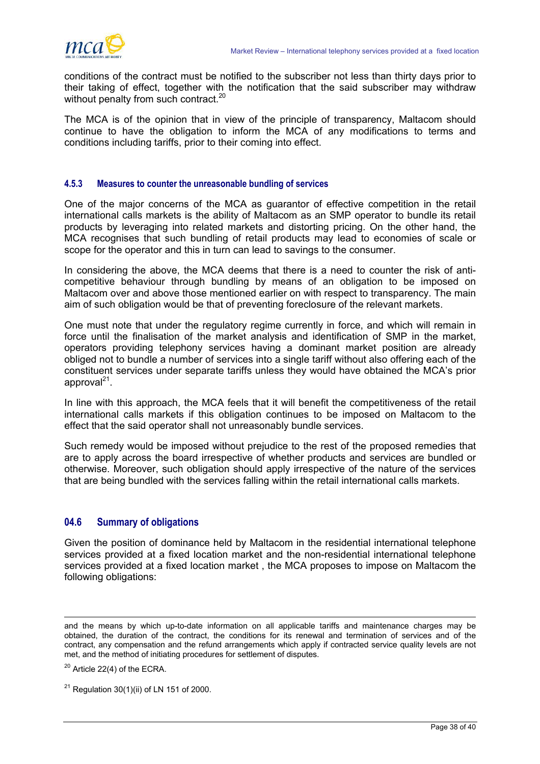<span id="page-39-0"></span>

conditions of the contract must be notified to the subscriber not less than thirty days prior to their taking of effect, together with the notification that the said subscriber may withdraw without penalty from such contract[.](#page-39-1)<sup>20</sup>

The MCA is of the opinion that in view of the principle of transparency, Maltacom should continue to have the obligation to inform the MCA of any modifications to terms and conditions including tariffs, prior to their coming into effect.

# **4.5.3 Measures to counter the unreasonable bundling of services**

One of the major concerns of the MCA as guarantor of effective competition in the retail international calls markets is the ability of Maltacom as an SMP operator to bundle its retail products by leveraging into related markets and distorting pricing. On the other hand, the MCA recognises that such bundling of retail products may lead to economies of scale or scope for the operator and this in turn can lead to savings to the consumer.

In considering the above, the MCA deems that there is a need to counter the risk of anticompetitive behaviour through bundling by means of an obligation to be imposed on Maltacom over and above those mentioned earlier on with respect to transparency. The main aim of such obligation would be that of preventing foreclosure of the relevant markets.

One must note that under the regulatory regime currently in force, and which will remain in force until the finalisation of the market analysis and identification of SMP in the market, operators providing telephony services having a dominant market position are already obliged not to bundle a number of services into a single tariff without also offering each of the constituent services under separate tariffs unless they would have obtained the MCA's prior approval $^{21}$ .

In line with this approach, the MCA feels that it will benefit the competitiveness of the retail international calls markets if this obligation continues to be imposed on Maltacom to the effect that the said operator shall not unreasonably bundle services.

Such remedy would be imposed without prejudice to the rest of the proposed remedies that are to apply across the board irrespective of whether products and services are bundled or otherwise. Moreover, such obligation should apply irrespective of the nature of the services that are being bundled with the services falling within the retail international calls markets.

# **04.6 Summary of obligations**

Given the position of dominance held by Maltacom in the residential international telephone services provided at a fixed location market and the non-residential international telephone services provided at a fixed location market , the MCA proposes to impose on Maltacom the following obligations:

and the means by which up-to-date information on all applicable tariffs and maintenance charges may be obtained, the duration of the contract, the conditions for its renewal and termination of services and of the contract, any compensation and the refund arrangements which apply if contracted service quality levels are not met, and the method of initiating procedures for settlement of disputes.

<span id="page-39-1"></span> $20$  Article 22(4) of the ECRA.

<span id="page-39-2"></span> $21$  Regulation 30(1)(ii) of LN 151 of 2000.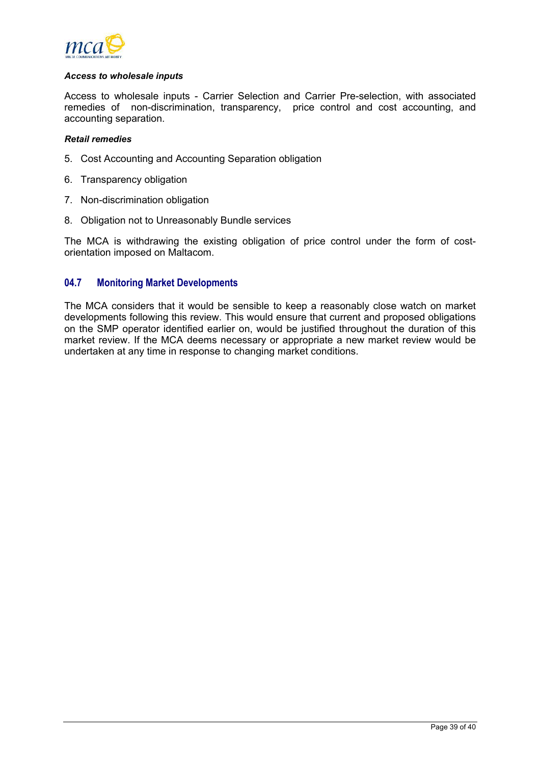<span id="page-40-0"></span>

#### *Access to wholesale inputs*

Access to wholesale inputs - Carrier Selection and Carrier Pre-selection, with associated remedies of non-discrimination, transparency, price control and cost accounting, and accounting separation.

#### *Retail remedies*

- 5. Cost Accounting and Accounting Separation obligation
- 6. Transparency obligation
- 7. Non-discrimination obligation
- 8. Obligation not to Unreasonably Bundle services

The MCA is withdrawing the existing obligation of price control under the form of costorientation imposed on Maltacom.

# **04.7 Monitoring Market Developments**

The MCA considers that it would be sensible to keep a reasonably close watch on market developments following this review. This would ensure that current and proposed obligations on the SMP operator identified earlier on, would be justified throughout the duration of this market review. If the MCA deems necessary or appropriate a new market review would be undertaken at any time in response to changing market conditions.